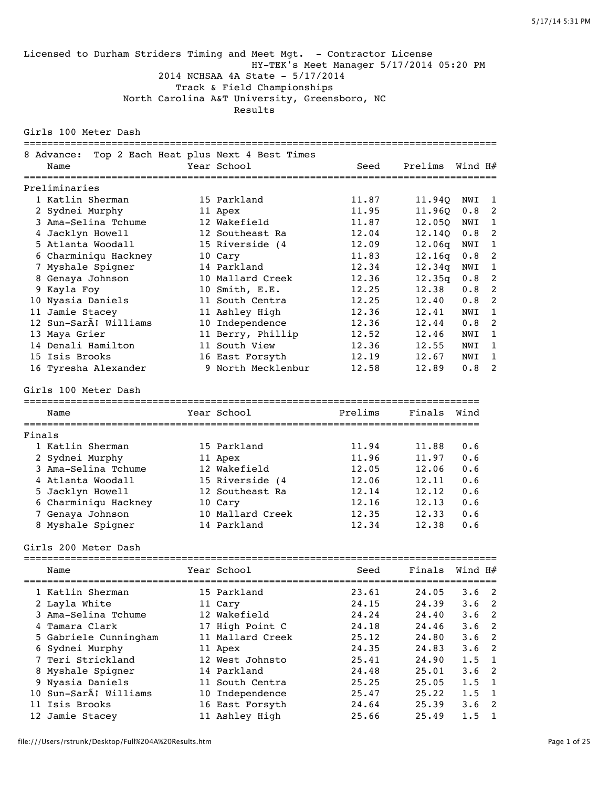Licensed to Durham Striders Timing and Meet Mgt. - Contractor License HY-TEK's Meet Manager 5/17/2014 05:20 PM 2014 NCHSAA 4A State - 5/17/2014 Track & Field Championships North Carolina A&T University, Greensboro, NC Results Girls 100 Meter Dash ================================================================================= 8 Advance: Top 2 Each Heat plus Next 4 Best Times Name Year School Seed Prelims Wind H# ================================================================================= Preliminaries 1 Katlin Sherman 15 Parkland 11.87 11.94Q NWI 1 2 Sydnei Murphy 11 Apex 11.95 11.96Q 0.8 2 3 Ama-Selina Tchume 12 Wakefield 11.87 12.05Q NWI 1 4 Jacklyn Howell 12 Southeast Ra 12.04 12.14Q 0.8 2 5 Atlanta Woodall 15 Riverside (4 12.09 12.06q NWI 1 6 Charminiqu Hackney 10 Cary 11.83 12.16q 0.8 2 7 Myshale Spigner 14 Parkland 12.34 12.34q NWI 1 8 Genaya Johnson 10 Mallard Creek 12.36 12.35q 0.8 2 9 Kayla Foy 10 Smith, E.E. 12.25 12.38 0.8 2 10 Nyasia Daniels 11 South Centra 12.25 12.40 0.8 2 11 Jamie Stacey 11 Ashley High 12.36 12.41 NWI 1 12 Sun-Sará Williams 10 Independence 12.36 12.44 0.8 2 13 Maya Grier 11 Berry, Phillip 12.52 12.46 NWI 1 14 Denali Hamilton 11 South View 12.36 12.55 NWI 1 15 Isis Brooks 16 East Forsyth 12.19 12.67 NWI 1 16 Tyresha Alexander 9 North Mecklenbur 12.58 12.89 0.8 2 Girls 100 Meter Dash ============================================================================== Name Year School Prelims Finals Wind ============================================================================== Finals 1 Katlin Sherman 15 Parkland 11.94 11.88 0.6 2 Sydnei Murphy 11 Apex 11.96 11.97 0.6 3 Ama-Selina Tchume 12 Wakefield 12.05 12.06 0.6 4 Atlanta Woodall 15 Riverside (4 12.06 12.11 0.6 5 Jacklyn Howell 12 Southeast Ra 12.14 12.12 0.6 6 Charminiqu Hackney 10 Cary 12.16 12.13 0.6 7 Genaya Johnson 10 Mallard Creek 12.35 12.33 0.6 8 Myshale Spigner 14 Parkland 12.34 12.38 0.6 Girls 200 Meter Dash ================================================================================= Name The School Seed Finals Wind H $#$ ================================================================================= 1 Katlin Sherman 15 Parkland 23.61 24.05 3.6 2 2 Layla White 11 Cary 24.15 24.39 3.6 2

 3 Ama-Selina Tchume 12 Wakefield 24.24 24.40 3.6 2 4 Tamara Clark 17 High Point C 24.18 24.46 3.6 2 5 Gabriele Cunningham 11 Mallard Creek 25.12 24.80 3.6 2 6 Sydnei Murphy 11 Apex 24.35 24.83 3.6 2 7 Teri Strickland 12 West Johnsto 25.41 24.90 1.5 1 8 Myshale Spigner 14 Parkland 24.48 25.01 3.6 2 9 Nyasia Daniels 11 South Centra 25.25 25.05 1.5 1 10 Sun-Sará Williams 10 Independence 25.47 25.22 1.5 1 11 Isis Brooks 16 East Forsyth 24.64 25.39 3.6 2 12 Jamie Stacey 11 Ashley High 25.66 25.49 1.5 1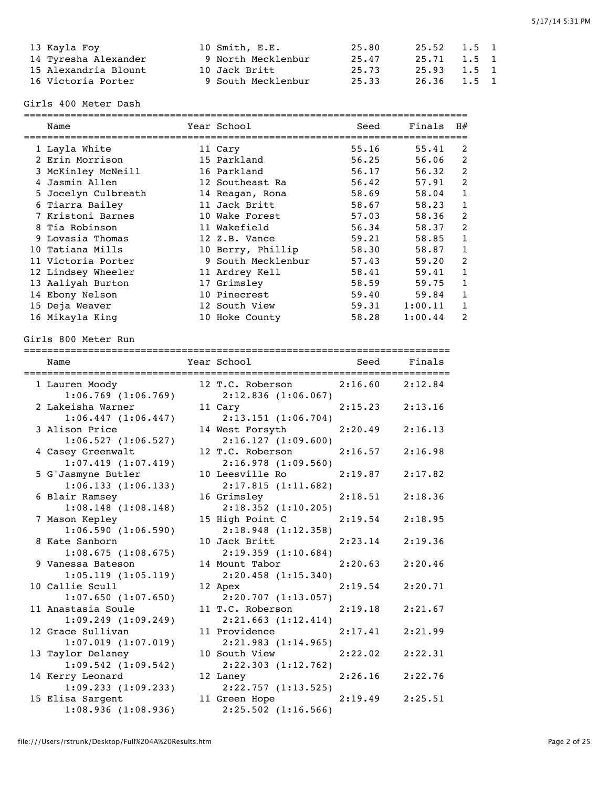| 13 Kayla Foy         | 10 Smith, E.E.     | 25.80 | 25.52 1.5 1 |       |  |
|----------------------|--------------------|-------|-------------|-------|--|
| 14 Tyresha Alexander | 9 North Mecklenbur | 25.47 | 25.71 1.5 1 |       |  |
| 15 Alexandria Blount | 10 Jack Britt      | 25.73 | 25.93 1.5 1 |       |  |
| 16 Victoria Porter   | 9 South Mecklenbur | 25.33 | 26.36       | 1.5 1 |  |

Girls 400 Meter Dash

| Name                | Year School        | Seed  | Finals  | H#                      |
|---------------------|--------------------|-------|---------|-------------------------|
| 1 Layla White       | 11 Cary            | 55.16 | 55.41   | 2                       |
| 2 Erin Morrison     | 15 Parkland        | 56.25 | 56.06   | 2                       |
| 3 McKinley McNeill  | 16 Parkland        | 56.17 | 56.32   | $\overline{2}$          |
| Jasmin Allen        | 12 Southeast Ra    | 56.42 | 57.91   | $\overline{2}$          |
| 5 Jocelyn Culbreath | 14 Reagan, Rona    | 58.69 | 58.04   | 1                       |
| 6 Tiarra Bailey     | 11 Jack Britt      | 58.67 | 58.23   | 1                       |
| 7 Kristoni Barnes   | 10 Wake Forest     | 57.03 | 58.36   | 2                       |
| 8 Tia Robinson      | 11 Wakefield       | 56.34 | 58.37   | 2                       |
| 9 Lovasia Thomas    | 12 Z.B. Vance      | 59.21 | 58.85   | 1                       |
| 10 Tatiana Mills    | 10 Berry, Phillip  | 58.30 | 58.87   | 1                       |
| 11 Victoria Porter  | 9 South Mecklenbur | 57.43 | 59.20   | $\overline{2}$          |
| 12 Lindsey Wheeler  | 11 Ardrey Kell     | 58.41 | 59.41   | 1                       |
| 13 Aaliyah Burton   | 17 Grimsley        | 58.59 | 59.75   | 1                       |
| 14 Ebony Nelson     | 10 Pinecrest       | 59.40 | 59.84   | 1                       |
| 15 Deja Weaver      | 12 South View      | 59.31 | 1:00.11 |                         |
| 16 Mikayla King     | 10 Hoke County     | 58.28 | 1:00.44 | $\overline{\mathbf{c}}$ |

Girls 800 Meter Run

| Name                                          |                                                        |                     |         |
|-----------------------------------------------|--------------------------------------------------------|---------------------|---------|
| 1 Lauren Moody<br>$1:06.769$ $(1:06.769)$     | 12 T.C. Roberson 2:16.60 2:12.84<br>2:12.836(1:06.067) |                     |         |
| 2 Lakeisha Warner<br>1:06.447(1:06.447)       | 11 Cary<br>2:13.151(1:06.704)                          | 2:15.23             | 2:13.16 |
| 3 Alison Price<br>1:06.527(1:06.527)          | 14 West Forsyth<br>2:16.127(1:09.600)                  | 2:20.49             | 2:16.13 |
| 4 Casey Greenwalt<br>1:07.419(1:07.419)       | 12 T.C. Roberson<br>2:16.978 (1:09.560)                | 2:16.57             | 2:16.98 |
| 5 G'Jasmyne Butler<br>1:06.133(1:06.133)      | 10 Leesville Ro<br>2:17.815(1:11.682)                  | 2:19.87             | 2:17.82 |
| 6 Blair Ramsey<br>1:08.148(1:08.148)          | 16 Grimsley<br>$2:18.352$ $(1:10.205)$                 | 2:18.51             | 2:18.36 |
| 7 Mason Kepley<br>1:06.590(1:06.590)          | 15 High Point C<br>2:18.948(1:12.358)                  | 2:19.54             | 2:18.95 |
| 8 Kate Sanborn<br>1:08.675(1:08.675)          | 10 Jack Britt<br>2:19.359(1:10.684)                    | 2:23.14             | 2:19.36 |
| 9 Vanessa Bateson<br>1:05.119(1:05.119)       | 14 Mount Tabor<br>2:20.458(1:15.340)                   | 2:20.63             | 2:20.46 |
| 10 Callie Scull<br>1:07.650(1:07.650)         | 12 Apex<br>2:20.707(1:13.057)                          | 2:19.54             | 2:20.71 |
| 11 Anastasia Soule<br>$1:09.249$ $(1:09.249)$ | 11 T.C. Roberson<br>2:21.663(1:12.414)                 | 2:19.18             | 2:21.67 |
| 12 Grace Sullivan<br>$1:07.019$ $(1:07.019)$  | 11 Providence<br>2:21.983 (1:14.965)                   | 2:17.41             | 2:21.99 |
| 13 Taylor Delaney<br>$1:09.542$ $(1:09.542)$  | 10 South View<br>2:22.303 (1:12.762)                   | 2:22.02             | 2:22.31 |
| 14 Kerry Leonard<br>1:09.233(1:09.233)        | 12 Laney<br>2:22.757 (1:13.525)                        | 2:26.16             | 2:22.76 |
| 15 Elisa Sargent<br>1:08.936(1:08.936)        | 11 Green Hope<br>$2:25.502$ (1:16.566)                 | $2:19.49$ $2:25.51$ |         |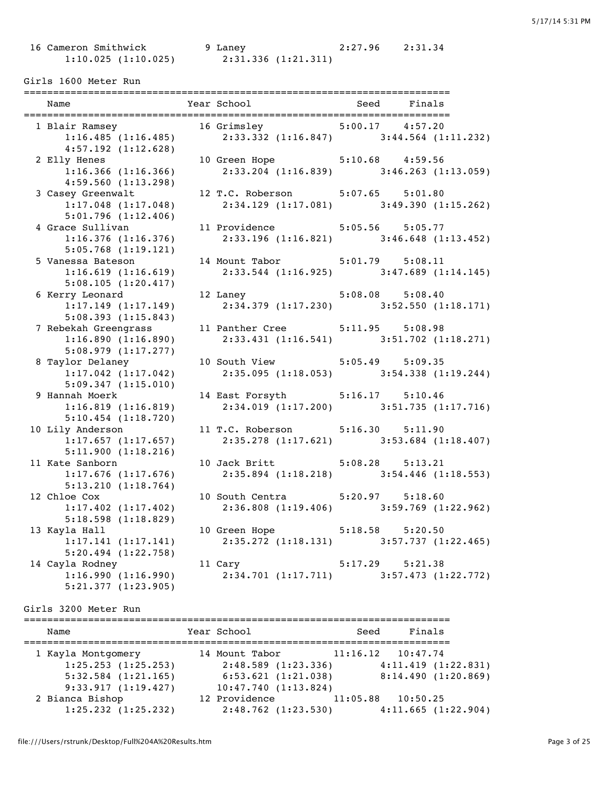1:10.025 (1:10.025) 2:31.336 (1:21.311)

16 Cameron Smithwick 9 Laney 2:27.96 2:31.34

#### Girls 1600 Meter Run

| Name                                          | Year School                      | Seed Finals                                                                                               |
|-----------------------------------------------|----------------------------------|-----------------------------------------------------------------------------------------------------------|
|                                               |                                  | 1 Blair Ramsey 16 Grimsley 5:00.17 4:57.20<br>1:16.485 (1:16.485) 2:33.332 (1:16.847) 3:44.564 (1:11.232) |
| 4:57.192(1:12.628)                            |                                  |                                                                                                           |
| 2 Elly Henes                                  | 10 Green Hope 5:10.68 4:59.56    |                                                                                                           |
| $1:16.366$ $(1:16.366)$                       |                                  | $2:33.204$ (1:16.839) 3:46.263 (1:13.059)                                                                 |
| 4:59.560(1:13.298)                            |                                  |                                                                                                           |
| 3 Casey Greenwalt                             | 12 T.C. Roberson 5:07.65 5:01.80 |                                                                                                           |
| 1:17.048(1:17.048)<br>5:01.796(1:12.406)      |                                  | $2:34.129$ $(1:17.081)$ $3:49.390$ $(1:15.262)$                                                           |
| 4 Grace Sullivan                              | 11 Providence 5:05.56 5:05.77    |                                                                                                           |
| 1:16.376(1:16.376)                            |                                  | $2:33.196$ (1:16.821) $3:46.648$ (1:13.452)                                                               |
| 5:05.768(1:19.121)                            |                                  |                                                                                                           |
| 5 Vanessa Bateson                             | 14 Mount Tabor 5:01.79 5:08.11   |                                                                                                           |
| 1:16.619(1:16.619)                            |                                  | $2:33.544$ (1:16.925) 3:47.689 (1:14.145)                                                                 |
| 5:08.105(1:20.417)                            |                                  |                                                                                                           |
| 6 Kerry Leonard                               | 12 Laney 5:08.08 5:08.40         |                                                                                                           |
| 1:17.149(1:17.149)                            |                                  | $2:34.379$ $(1:17.230)$ $3:52.550$ $(1:18.171)$                                                           |
| 5:08.393(1:15.843)                            |                                  |                                                                                                           |
| 7 Rebekah Greengrass                          | 11 Panther Cree 5:11.95 5:08.98  |                                                                                                           |
| 1:16.890(1:16.890)                            |                                  | $2:33.431$ $(1:16.541)$ $3:51.702$ $(1:18.271)$                                                           |
| 5:08.979(1:17.277)<br>8 Taylor Delaney        | 10 South View 5:05.49 5:09.35    |                                                                                                           |
| $1:17.042$ $(1:17.042)$                       |                                  | $2:35.095$ (1:18.053) 3:54.338 (1:19.244)                                                                 |
| 5:09.347(1:15.010)                            |                                  |                                                                                                           |
| 9 Hannah Moerk                                | 14 East Forsyth 5:16.17 5:10.46  |                                                                                                           |
| 1:16.819(1:16.819)                            |                                  | $2:34.019$ (1:17.200) 3:51.735 (1:17.716)                                                                 |
| $5:10.454$ $(1:18.720)$                       |                                  |                                                                                                           |
| 10 Lily Anderson                              | 11 T.C. Roberson 5:16.30 5:11.90 |                                                                                                           |
| 1:17.657(1:17.657)                            |                                  | $2:35.278$ $(1:17.621)$ $3:53.684$ $(1:18.407)$                                                           |
| 5:11.900(1:18.216)                            |                                  |                                                                                                           |
| 11 Kate Sanborn                               | 10 Jack Britt 5:08.28 5:13.21    |                                                                                                           |
| $1:17.676$ $(1:17.676)$                       |                                  | $2:35.894$ (1:18.218) $3:54.446$ (1:18.553)                                                               |
| 5:13.210(1:18.764)                            |                                  |                                                                                                           |
| 12 Chloe Cox                                  | 10 South Centra 5:20.97 5:18.60  |                                                                                                           |
| $1:17.402$ $(1:17.402)$<br>5:18.598(1:18.829) |                                  | $2:36.808$ (1:19.406) $3:59.769$ (1:22.962)                                                               |
| 13 Kayla Hall                                 | 10 Green Hope 5:18.58 5:20.50    |                                                                                                           |
| 1:17.141(1:17.141)                            |                                  | $2:35.272$ (1:18.131) 3:57.737 (1:22.465)                                                                 |
| $5:20.494$ $(1:22.758)$                       |                                  |                                                                                                           |
| 14 Cayla Rodney                               | 11 Cary 5:17.29 5:21.38          |                                                                                                           |
| 1:16.990(1:16.990)                            |                                  | $2:34.701$ (1:17.711) 3:57.473 (1:22.772)                                                                 |
| 5:21.377(1:23.905)                            |                                  |                                                                                                           |

Girls 3200 Meter Run

| Name                                                                                           | Year School                                                                            | Finals<br>Seed                                                    |
|------------------------------------------------------------------------------------------------|----------------------------------------------------------------------------------------|-------------------------------------------------------------------|
| 1 Kayla Montgomery<br>$1:25.253$ $(1:25.253)$<br>$5:32.584$ $(1:21.165)$<br>9:33.917(1:19.427) | 14 Mount Tabor<br>2:48.589(1:23.336)<br>6:53.621(1:21.038)<br>$10:47.740$ $(1:13.824)$ | $11:16.12$ $10:47.74$<br>4:11.419(1:22.831)<br>8:14.490(1:20.869) |
| 2 Bianca Bishop<br>$1:25.232$ $(1:25.232)$                                                     | 12 Providence<br>$2:48.762$ $(1:23.530)$                                               | 11:05.88<br>10:50.25<br>4:11.665(1:22.904)                        |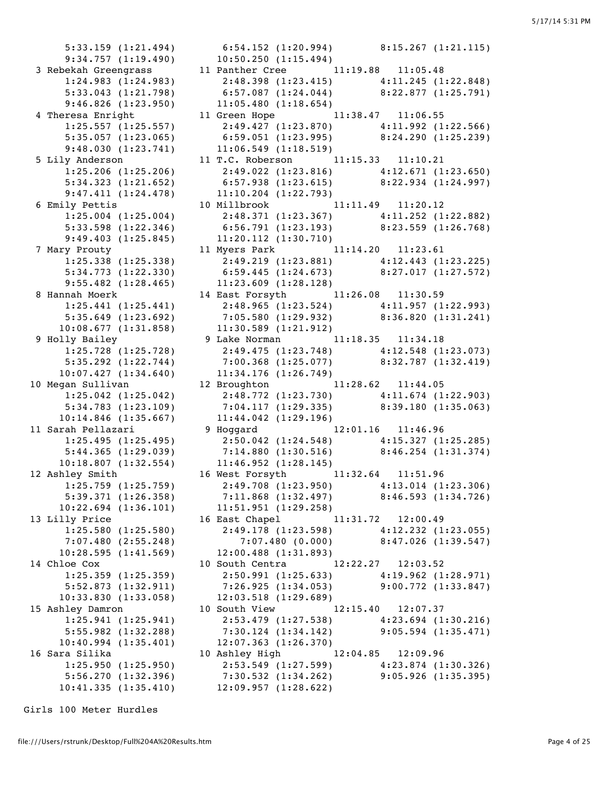5:33.159 (1:21.494) 6:54.152 (1:20.994) 8:15.267 (1:21.115) 9:34.757 (1:19.490) 10:50.250 (1:15.494) 9:46.826 (1:23.950) 11:05.480 (1:18.654) 9:48.030 (1:23.741) 11:06.549 (1:18.519) 9:47.411 (1:24.478) 11:10.204 (1:22.793) 9:49.403 (1:25.845) 11:20.112 (1:30.710) 9:55.482 (1:28.465) 11:23.609 (1:28.128) 10:08.677 (1:31.858) 11:30.589 (1:21.912) 10:07.427 (1:34.640) 11:34.176 (1:26.749) 10:14.846 (1:35.667) 11:44.042 (1:29.196) 10:18.807 (1:32.554) 11:46.952 (1:28.145) 10:22.694 (1:36.101) 11:51.951 (1:29.258) 10:28.595 (1:41.569) 12:00.488 (1:31.893) 10:33.830 (1:33.058) 12:03.518 (1:29.689) 10:40.994 (1:35.401) 12:07.363 (1:26.370)

 3 Rebekah Greengrass 11 Panther Cree 11:19.88 11:05.48 1:24.983 (1:24.983) 2:48.398 (1:23.415) 4:11.245 (1:22.848) 5:33.043 (1:21.798) 6:57.087 (1:24.044) 8:22.877 (1:25.791) 4 Theresa Enright 11 Green Hope 11:38.47 11:06.55 1:25.557 (1:25.557) 2:49.427 (1:23.870) 4:11.992 (1:22.566) 5:35.057 (1:23.065) 6:59.051 (1:23.995) 8:24.290 (1:25.239) 5 Lily Anderson 11 T.C. Roberson 11:15.33 11:10.21 1:25.206 (1:25.206) 2:49.022 (1:23.816) 4:12.671 (1:23.650) 5:34.323 (1:21.652) 6:57.938 (1:23.615) 8:22.934 (1:24.997) 6 Emily Pettis 10 Millbrook 11:11.49 11:20.12 1:25.004 (1:25.004) 2:48.371 (1:23.367) 4:11.252 (1:22.882) 5:33.598 (1:22.346) 6:56.791 (1:23.193) 8:23.559 (1:26.768) 7 Mary Prouty 11 Myers Park 11:14.20 11:23.61 1:25.338 (1:25.338) 2:49.219 (1:23.881) 4:12.443 (1:23.225) 5:34.773 (1:22.330) 6:59.445 (1:24.673) 8:27.017 (1:27.572) 8 Hannah Moerk 14 East Forsyth 11:26.08 11:30.59 1:25.441 (1:25.441) 2:48.965 (1:23.524) 4:11.957 (1:22.993) 5:35.649 (1:23.692) 7:05.580 (1:29.932) 8:36.820 (1:31.241) 9 Holly Bailey 9 Lake Norman 11:18.35 11:34.18 1:25.728 (1:25.728) 2:49.475 (1:23.748) 4:12.548 (1:23.073) 5:35.292 (1:22.744) 7:00.368 (1:25.077) 8:32.787 (1:32.419) 10 Megan Sullivan 12 Broughton 11:28.62 11:44.05 1:25.042 (1:25.042) 2:48.772 (1:23.730) 4:11.674 (1:22.903) 5:34.783 (1:23.109) 7:04.117 (1:29.335) 8:39.180 (1:35.063) 11 Sarah Pellazari 9 Hoggard 12:01.16 11:46.96 1:25.495 (1:25.495) 2:50.042 (1:24.548) 4:15.327 (1:25.285) 5:44.365 (1:29.039) 7:14.880 (1:30.516) 8:46.254 (1:31.374) 12 Ashley Smith 16 West Forsyth 11:32.64 11:51.96 1:25.759 (1:25.759) 2:49.708 (1:23.950) 4:13.014 (1:23.306) 5:39.371 (1:26.358) 7:11.868 (1:32.497) 8:46.593 (1:34.726) 13 Lilly Price **16 East Chapel** 11:31.72 12:00.49 1:25.580 (1:25.580) 2:49.178 (1:23.598) 4:12.232 (1:23.055) 7:07.480 (2:55.248) 7:07.480 (0.000) 8:47.026 (1:39.547) 14 Chloe Cox 10 South Centra 12:22.27 12:03.52 1:25.359 (1:25.359) 2:50.991 (1:25.633) 4:19.962 (1:28.971) 5:52.873 (1:32.911) 7:26.925 (1:34.053) 9:00.772 (1:33.847) 15 Ashley Damron 10 South View 12:15.40 12:07.37 1:25.941 (1:25.941) 2:53.479 (1:27.538) 4:23.694 (1:30.216) 5:55.982 (1:32.288) 7:30.124 (1:34.142) 9:05.594 (1:35.471) 16 Sara Silika 10 Ashley High 12:04.85 12:09.96 1:25.950 (1:25.950) 2:53.549 (1:27.599) 4:23.874 (1:30.326) 5:56.270 (1:32.396) 7:30.532 (1:34.262) 9:05.926 (1:35.395) 10:41.335 (1:35.410) 12:09.957 (1:28.622)

Girls 100 Meter Hurdles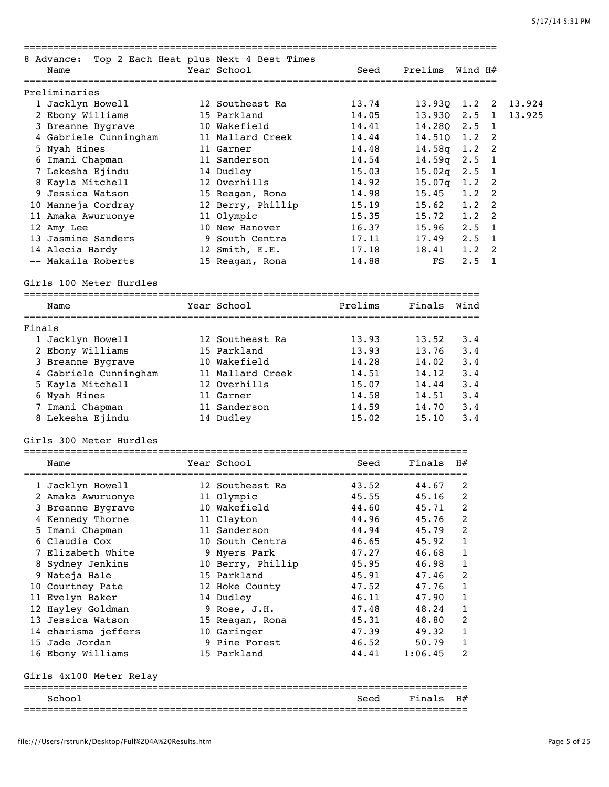| 8 Advance:<br>Name                  | ========<br>Top 2 Each Heat plus Next 4 Best Times<br>Year School | Seed                               | Prelims          | ============<br>Wind H# |                        |
|-------------------------------------|-------------------------------------------------------------------|------------------------------------|------------------|-------------------------|------------------------|
| Preliminaries                       |                                                                   |                                    |                  |                         |                        |
| 1 Jacklyn Howell                    | 12 Southeast Ra                                                   | 13.74                              | 13.93Q           | 1.2                     | 13.924<br>2            |
| 2 Ebony Williams                    | 15 Parkland                                                       | 14.05                              | 13.93Q           | 2.5                     | $\mathbf{1}$<br>13.925 |
| 3 Breanne Bygrave                   | 10 Wakefield                                                      | 14.41                              | 14.28Q           | 2.5                     | 1                      |
| 4 Gabriele Cunningham               | 11 Mallard Creek                                                  | 14.44                              | 14.51Q           | 1.2                     | 2                      |
| 5 Nyah Hines                        | 11 Garner<br>11 Sanderson                                         | 14.48                              | 14.58g           | 1.2                     | 2                      |
| 6 Imani Chapman<br>7 Lekesha Ejindu | 14 Dudley                                                         | 14.54<br>15.03                     | 14.59q<br>15.02q | 2.5<br>$2 \cdot 5$      | 1<br>1                 |
| 8 Kayla Mitchell                    | 12 Overhills                                                      | 14.92                              | 15.07q           | 1.2                     | 2                      |
| 9 Jessica Watson                    | 15 Reagan, Rona                                                   | 14.98                              | 15.45            | 1.2                     | 2                      |
| 10 Manneja Cordray                  | 12 Berry, Phillip                                                 | 15.19                              | 15.62            | 1.2                     | 2                      |
| 11 Amaka Awuruonye                  | 11 Olympic                                                        | 15.35                              | 15.72            | 1.2                     | 2                      |
| 12 Amy Lee                          | 10 New Hanover                                                    | 16.37                              | 15.96            | 2.5                     | $\mathbf{1}$           |
| 13 Jasmine Sanders                  | 9 South Centra                                                    | 17.11                              | 17.49            | 2.5                     | 1                      |
| 14 Alecia Hardy                     | 12 Smith, E.E.                                                    | 17.18                              | 18.41            | 1.2                     | 2                      |
| -- Makaila Roberts                  | 15 Reagan, Rona                                                   | 14.88                              | FS               | 2.5                     | 1                      |
| Girls 100 Meter Hurdles             |                                                                   |                                    |                  |                         |                        |
| Name                                | Year School                                                       | Prelims                            | Finals           | Wind                    |                        |
| Finals                              |                                                                   |                                    |                  |                         |                        |
| 1 Jacklyn Howell                    | 12 Southeast Ra                                                   | 13.93                              | 13.52            | 3.4                     |                        |
| 2 Ebony Williams                    | 15 Parkland                                                       | 13.93                              | 13.76            | 3.4                     |                        |
| 3 Breanne Bygrave                   | 10 Wakefield                                                      | 14.28                              | 14.02            | 3.4                     |                        |
| 4 Gabriele Cunningham               | 11 Mallard Creek                                                  | 14.51                              | 14.12            | 3.4                     |                        |
| 5 Kayla Mitchell                    | 12 Overhills                                                      | 15.07                              | 14.44            | 3.4                     |                        |
| 6 Nyah Hines                        | 11 Garner                                                         | 14.58                              | 14.51            | 3.4                     |                        |
| 7 Imani Chapman                     | 11 Sanderson                                                      | 14.59                              | 14.70            | 3.4                     |                        |
| 8 Lekesha Ejindu                    | 14 Dudley                                                         | 15.02                              | 15.10            | 3.4                     |                        |
| Girls 300 Meter Hurdles             |                                                                   |                                    |                  |                         |                        |
| Name                                | Year School<br>:==============                                    | Seed<br>========================== | Finals           | H#                      |                        |
| 1 Jacklyn Howell                    | 12 Southeast Ra                                                   | 43.52                              | 44.67            | 2                       |                        |
| 2 Amaka Awuruonye                   | 11 Olympic                                                        | 45.55                              | 45.16            | 2                       |                        |
| 3 Breanne Bygrave                   | 10 Wakefield                                                      | 44.60                              | 45.71            | 2                       |                        |
| 4 Kennedy Thorne                    | 11 Clayton                                                        | 44.96                              | 45.76            | 2                       |                        |
| 5 Imani Chapman                     | 11 Sanderson                                                      | 44.94                              | 45.79            | 2                       |                        |
| 6 Claudia Cox                       | 10 South Centra                                                   | 46.65                              | 45.92            | 1                       |                        |
| 7 Elizabeth White                   | 9 Myers Park                                                      | 47.27                              | 46.68            | 1                       |                        |
| 8 Sydney Jenkins                    | 10 Berry, Phillip                                                 | 45.95                              | 46.98            | 1                       |                        |
| 9 Nateja Hale                       | 15 Parkland                                                       | 45.91                              | 47.46            | 2                       |                        |
| 10 Courtney Pate                    | 12 Hoke County                                                    | 47.52                              | 47.76            | 1                       |                        |
| 11 Evelyn Baker                     | 14 Dudley                                                         | 46.11                              | 47.90            | 1                       |                        |
| 12 Hayley Goldman                   | 9 Rose, J.H.                                                      | 47.48                              | 48.24            | 1                       |                        |
| 13 Jessica Watson                   | 15 Reagan, Rona                                                   | 45.31                              | 48.80            | 2                       |                        |
| 14 charisma jeffers                 | 10 Garinger                                                       | 47.39                              | 49.32            | 1                       |                        |
| 15 Jade Jordan<br>16 Ebony Williams | 9 Pine Forest<br>15 Parkland                                      | 46.52<br>44.41                     | 50.79<br>1:06.45 | 1<br>2                  |                        |
| Girls 4x100 Meter Relay             |                                                                   |                                    |                  |                         |                        |
| School                              |                                                                   | Seed                               | Finals           | H#                      |                        |
|                                     |                                                                   |                                    |                  |                         |                        |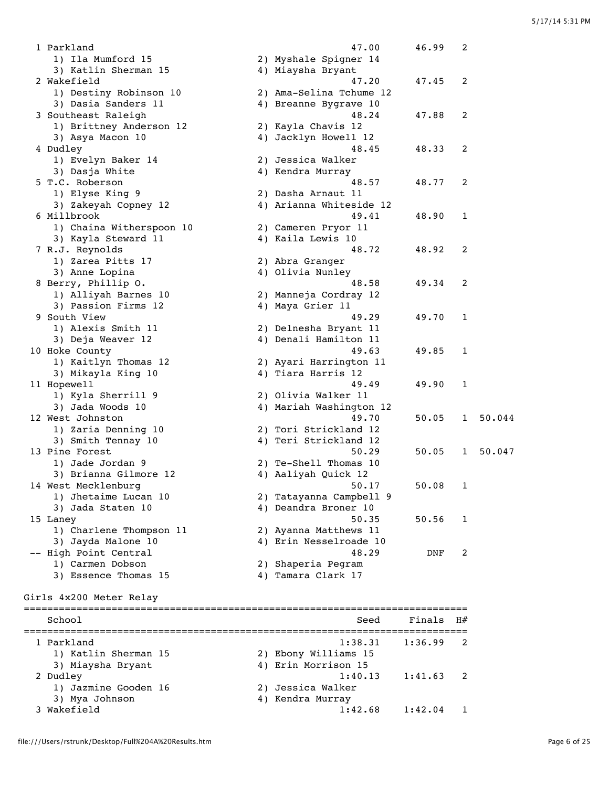1 Parkland 47.00 46.99 2 1) Ila Mumford 15 2) Myshale Spigner 14 3) Katlin Sherman 15 4) Miaysha Bryant 2 Wakefield 47.20 47.45 2 1) Destiny Robinson 10 2) Ama-Selina Tchume 12 3) Dasia Sanders 11 4) Breanne Bygrave 10 3 Southeast Raleigh 48.24 47.88 2 1) Brittney Anderson 12 2) Kayla Chavis 12 3) Asya Macon 10 4) Jacklyn Howell 12 4 Dudley 48.45 48.33 2 1) Evelyn Baker 14 2) Jessica Walker 3) Dasja White 4) Kendra Murray 5 T.C. Roberson 48.57 48.77 2<br>1) Elyse King 9 2) Dasha Arnaut 11 1) Elyse King 9 2) Dasha Arnaut 11 3) Zakeyah Copney 12 4) Arianna Whiteside 12 6 Millbrook 49.41 48.90 1 1) Chaina Witherspoon 10 2) Cameren Pryor 11 3) Kayla Steward 11 4) Kaila Lewis 10 7 R.J. Reynolds 48.72 48.92 2 1) Zarea Pitts 17 2) Abra Granger 3) Anne Lopina 4) Olivia Nunley 8 Berry, Phillip O. 48.58 49.34 2 2) Manneja Cordray 12<br>4) Maya Grier 11 1) Alliyah Barnes 10<br>3) Passion Firms 12 9 South View 49.29 49.70 1 1) Alexis Smith 11 2) Delnesha Bryant 11 3) Deja Weaver 12 4) Denali Hamilton 11 3) Deja weaver 12<br>10 Hoke County 49.63 49.85 1 1) Kaitlyn Thomas 12 2) Ayari Harrington 11 3) Mikayla King 10 4) Tiara Harris 12 11 Hopewell 49.49 49.90 1 1) Kyla Sherrill 9 2) Olivia Walker 11 3) Jada Woods 10 4) Mariah Washington 12 12 West Johnston 49.70 50.05 1 50.044 1) Zaria Denning 10 2) Tori Strickland 12 3) Smith Tennay 10 4) Teri Strickland 12 13 Pine Forest 50.29 50.05 1 50.047 1) Jade Jordan 9 2) Te-Shell Thomas 10 3) Brianna Gilmore 12 4) Aaliyah Quick 12 14 West Mecklenburg 50.17 50.08 1 1) Jhetaime Lucan 10 2) Tatayanna Campbell 9 3) Jada Staten 10 4) Deandra Broner 10 15 Laney 50.35 50.56 1 1) Charlene Thompson 11 2) Ayanna Matthews 11 3) Jayda Malone 10 4) Erin Nesselroade 10 -- High Point Central 48.29 DNF 2 1) Carmen Dobson 2) Shaperia Pegram 3) Essence Thomas 15 4) Tamara Clark 17 Girls 4x200 Meter Relay ============================================================================ School School Seed Finals H# ============================================================================ 1 Parkland 1:38.31 1:36.99 2 1) Katlin Sherman 15 2) Ebony Williams 15 3) Miaysha Bryant 4) Erin Morrison 15 2 Dudley 1:40.13 1:41.63 2 1) Jazmine Gooden 16 2) Jessica Walker 3) Mya Johnson 4) Kendra Murray 3 Wakefield 1:42.68 1:42.04 1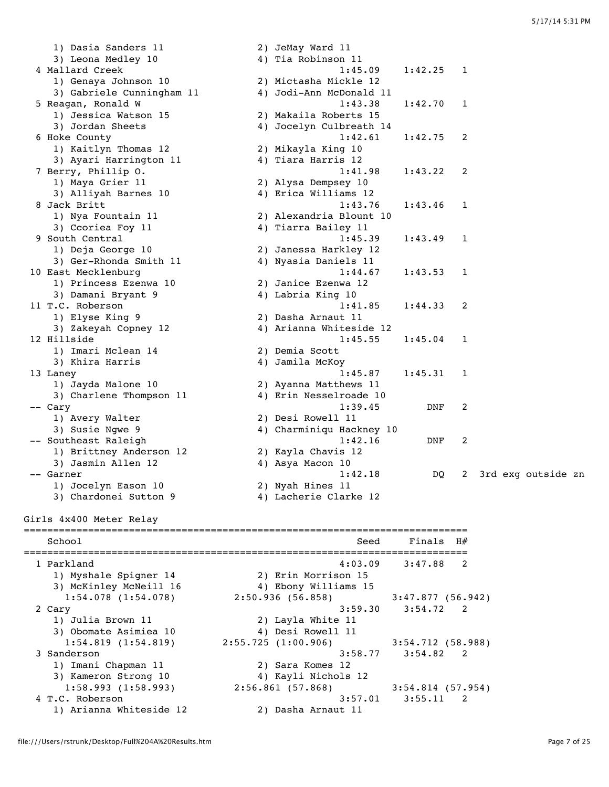1) Dasia Sanders 11 2) JeMay Ward 11 3) Leona Medley 10 4) Tia Robinson 11 4 Mallard Creek 1:45.09 1:42.25 1<br>1) Conava Johnson 10 2) Mictasha Mickle 12 1) Genaya Johnson 10 3) Gabriele Cunningha 5 Reagan, Ronald W 1) Jessica Watson 15 3) Jordan Sheets 6 Hoke County 1) Kaitlyn Thomas 12 3) Ayari Harrington 7 Berry, Phillip O. 1) Maya Grier 11 3) Alliyah Barnes 10 8 Jack Britt 1) Nya Fountain 11 3) Ccoriea Foy 11 9 South Central 1) Deja George 10 3) Ger-Rhonda Smith 10 East Mecklenburg 1) Princess Ezenwa 1 3) Damani Bryant 9 11 T.C. Roberson 1) Elyse King 9 3) Zakeyah Copney 12 12 Hillside 1) Imari Mclean 14 3) Khira Harris 13 Laney 1) Jayda Malone 10 3) Charlene Thompson 1) Avery Walter 3) Susie Ngwe 9 -- Southeast Raleigh 1) Brittney Anderson 3) Jasmin Allen 12 1) Jocelyn Eason 10 3) Chardonei Sutton Girls 4x400 Meter Relay ============================================================================ ============================================================================ 1 Parkland

| 1) Genaya Jonnson 10           | z) Mictasna Mickle iz    |                     |                            |  |                    |  |
|--------------------------------|--------------------------|---------------------|----------------------------|--|--------------------|--|
| 3) Gabriele Cunningham 11      | 4) Jodi-Ann McDonald 11  |                     |                            |  |                    |  |
| 5 Reagan, Ronald W             | 1:43.38                  | 1:42.70             | 1                          |  |                    |  |
| 1) Jessica Watson 15           | 2) Makaila Roberts 15    |                     |                            |  |                    |  |
| 3) Jordan Sheets               | 4) Jocelyn Culbreath 14  |                     |                            |  |                    |  |
| 6 Hoke County                  | 1:42.61                  | 1:42.75             | 2                          |  |                    |  |
| 1) Kaitlyn Thomas 12           | 2) Mikayla King 10       |                     |                            |  |                    |  |
| 3) Ayari Harrington 11         | 4) Tiara Harris 12       |                     |                            |  |                    |  |
| 7 Berry, Phillip O.            | 1:41.98                  | 1:43.22             | 2                          |  |                    |  |
| 1) Maya Grier 11               | 2) Alysa Dempsey 10      |                     |                            |  |                    |  |
| 3) Alliyah Barnes 10           | 4) Erica Williams 12     |                     |                            |  |                    |  |
| 8 Jack Britt                   | 1:43.76                  | 1:43.46             | 1                          |  |                    |  |
|                                |                          |                     |                            |  |                    |  |
| 1) Nya Fountain 11             | 2) Alexandria Blount 10  |                     |                            |  |                    |  |
| 3) Ccoriea Foy 11              | 4) Tiarra Bailey 11      |                     |                            |  |                    |  |
| 9 South Central                | 1:45.39                  | 1:43.49             | 1                          |  |                    |  |
| 1) Deja George 10              | 2) Janessa Harkley 12    |                     |                            |  |                    |  |
| 3) Ger-Rhonda Smith 11         | 4) Nyasia Daniels 11     |                     |                            |  |                    |  |
| 10 East Mecklenburg            | 1:44.67                  | 1:43.53             | 1                          |  |                    |  |
| 1) Princess Ezenwa 10          | 2) Janice Ezenwa 12      |                     |                            |  |                    |  |
| 3) Damani Bryant 9             | 4) Labria King 10        |                     |                            |  |                    |  |
| 11 T.C. Roberson               | 1:41.85                  | 1:44.33             | 2                          |  |                    |  |
| 1) Elyse King 9                | 2) Dasha Arnaut 11       |                     |                            |  |                    |  |
| 3) Zakeyah Copney 12           | 4) Arianna Whiteside 12  |                     |                            |  |                    |  |
| 12 Hillside                    | 1:45.55                  | 1:45.04             | 1                          |  |                    |  |
| 1) Imari Mclean 14             | 2) Demia Scott           |                     |                            |  |                    |  |
| 3) Khira Harris                | 4) Jamila McKoy          |                     |                            |  |                    |  |
|                                |                          |                     |                            |  |                    |  |
| 13 Laney                       | 1:45.87                  | 1:45.31             | 1                          |  |                    |  |
| 1) Jayda Malone 10             | 2) Ayanna Matthews 11    |                     |                            |  |                    |  |
| 3) Charlene Thompson 11        | 4) Erin Nesselroade 10   |                     |                            |  |                    |  |
| -- Cary                        | 1:39.45                  | DNF                 | 2                          |  |                    |  |
| 1) Avery Walter                | 2) Desi Rowell 11        |                     |                            |  |                    |  |
| 3) Susie Ngwe 9                | 4) Charminiqu Hackney 10 |                     |                            |  |                    |  |
| -- Southeast Raleigh           | 1:42.16                  | DNF                 | 2                          |  |                    |  |
| 1) Brittney Anderson 12        | 2) Kayla Chavis 12       |                     |                            |  |                    |  |
| 3) Jasmin Allen 12             | 4) Asya Macon 10         |                     |                            |  |                    |  |
| -- Garner                      | 1:42.18                  | DQ                  | 2                          |  | 3rd exg outside zn |  |
| 1) Jocelyn Eason 10            | 2) Nyah Hines 11         |                     |                            |  |                    |  |
| 3) Chardonei Sutton 9          | 4) Lacherie Clarke 12    |                     |                            |  |                    |  |
|                                |                          |                     |                            |  |                    |  |
| Girls 4x400 Meter Relay        |                          |                     |                            |  |                    |  |
|                                |                          |                     |                            |  |                    |  |
| School                         | Seed                     | Finals              | H#                         |  |                    |  |
| ------------------------------ |                          |                     |                            |  |                    |  |
| 1 Parkland                     | 4:03.09                  | 3:47.88             | 2                          |  |                    |  |
| 1) Myshale Spigner 14          | 2) Erin Morrison 15      |                     |                            |  |                    |  |
| 3) McKinley McNeill 16         | 4) Ebony Williams 15     |                     |                            |  |                    |  |
| 1:54.078(1:54.078)             | 2:50.936(56.858)         | 3:47.877(56.942)    |                            |  |                    |  |
| 2 Cary                         | 3:59.30                  | $3:54.72$ 2         |                            |  |                    |  |
| 1) Julia Brown 11              | 2) Layla White 11        |                     |                            |  |                    |  |
| 3) Obomate Asimiea 10          | 4) Desi Rowell 11        |                     |                            |  |                    |  |
|                                |                          |                     |                            |  |                    |  |
| 1:54.819(1:54.819)             | 2:55.725(1:00.906)       | 3:54.712(58.988)    |                            |  |                    |  |
| 3 Sanderson                    | 3:58.77                  | 3:54.82 2           |                            |  |                    |  |
| 1) Imani Chapman 11            | 2) Sara Komes 12         |                     |                            |  |                    |  |
| 3) Kameron Strong 10           | 4) Kayli Nichols 12      |                     |                            |  |                    |  |
| 1:58.993(1:58.993)             | 2:56.861(57.868)         | $3:54.814$ (57.954) |                            |  |                    |  |
| 4 T.C. Roberson                | 3:57.01                  | 3:55.11             | $\overline{\phantom{a}}$ 2 |  |                    |  |
| 1) Arianna Whiteside 12        | 2) Dasha Arnaut 11       |                     |                            |  |                    |  |
|                                |                          |                     |                            |  |                    |  |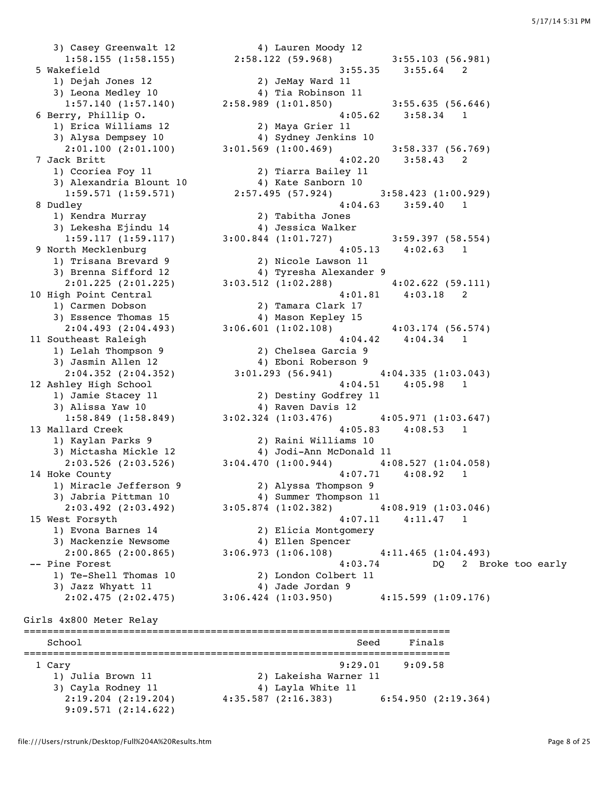3) Casey Greenwalt 12 4) Lauren Moody 12 1:58.155 (1:58.155) 2:58.122 (59.968) 3:55.103 (56.981) 5 Wakefield 3:55.35 3:55.64 2 1) Dejah Jones 12 2) JeMay Ward 11 3) Leona Medley 10  $\hphantom{\text{2.65}$  4) Tia Robinson 11 1:57.140 (1:57.140) 2:58.989 (1:01.850) 3:55.635 (56.646) 6 Berry, Phillip O. 4:05.62 3:58.34 1 1) Erica Williams 12 2) Maya Grier 11 3) Alysa Dempsey 10 4) Sydney Jenkins 10 2:01.100 (2:01.100) 3:01.569 (1:00.469) 3:58.337 (56.769) 7 Jack Britt 4:02.20 3:58.43 2 1) Ccoriea Foy 11 2) Tiarra Bailey 11 3) Alexandria Blount 10 <a>
4) Kate Sanborn 10 1:59.571 (1:59.571) 2:57.495 (57.924) 3:58.423 (1:00.929) 8 Dudley 4:04.63 3:59.40 1 3) Lekesha Ejindu 14 4) Jessica Walker 1:59.117 (1:59.117) 3:00.844 (1:01.727) 3:59.397 (58.554) 9 North Mecklenburg 4:05.13 4:02.63 1 1) Trisana Brevard 9 2) Nicole Lawson 11 3) Brenna Sifford 12 4) Tyresha Alexander 9 2:01.225 (2:01.225) 3:03.512 (1:02.288) 4:02.622 (59.111) 10 High Point Central 4:01.81 4:03.18 2 1) Carmen Dobson 2) Tamara Clark 17 3) Essence Thomas 15 4) Mason Kepley 15 2:04.493 (2:04.493) 3:06.601 (1:02.108) 4:03.174 (56.574) 11 Southeast Raleigh 104.42 4:04.34 1 1) Lelah Thompson 9 2) Chelsea Garcia 9 3) Jasmin Allen 12 4) Eboni Roberson 9 2:04.352 (2:04.352) 3:01.293 (56.941) 4:04.335 (1:03.043) 12 Ashley High School 4:04.51 4:05.98 1 1) Jamie Stacey 11 2) Destiny Godfrey 11 3) Alissa Yaw 10 4) Raven Davis 12 1:58.849 (1:58.849) 3:02.324 (1:03.476) 4:05.971 (1:03.647) 13 Mallard Creek 4:05.83 4:08.53 1 1) Kaylan Parks 9 2) Raini Williams 10 3) Mictasha Mickle 12 4) Jodi-Ann McDonald 11 2:03.526 (2:03.526) 3:04.470 (1:00.944) 4:08.527 (1:04.058) 14 Hoke County 4:07.71 4:08.92 1 1) Miracle Jefferson 9 2) Alyssa Thompson 9 3) Jabria Pittman 10 4) Summer Thompson 11 2:03.492 (2:03.492) 3:05.874 (1:02.382) 4:08.919 (1:03.046) 15 West Forsyth 4:07.11 4:11.47 1 1) Evona Barnes 14 2) Elicia Montgomery 3) Mackenzie Newsome 4) Ellen Spencer 2:00.865 (2:00.865) 3:06.973 (1:06.108) 4:11.465 (1:04.493) 1) Te-Shell Thomas 10 2) London Colbert 11 3) Jazz Whyatt 11  $\begin{array}{ccc} 4 & 4 & 5 \end{array}$  Jade Jordan 9 2:02.475 (2:02.475) 3:06.424 (1:03.950) 4:15.599 (1:09.176) Girls 4x800 Meter Relay ========================================================================= School School Seed Finals ========================================================================= 1 Cary 9:29.01 9:09.58 1) Julia Brown 11 2) Lakeisha Warner 11 3) Cayla Rodney 11 4) Layla White 11

911) Kendra Murray (a. 1912) Tabitha Jones<br>
1) Kendra Murray (a. 1913) 2) Tabitha Jones<br>
2) Tabitha Jones<br>
4) Jessica Walker<br>
2) Tabitha Jones<br>
4) Jessica Walker<br>
2:59.397 (58.554)<br>
4:05.13<br>
4:02.63<br>
1 -- Pine Forest 4:03.74 DQ 2 Broke too early 2:19.204 (2:19.204) 4:35.587 (2:16.383) 6:54.950 (2:19.364)

9:09.571 (2:14.622)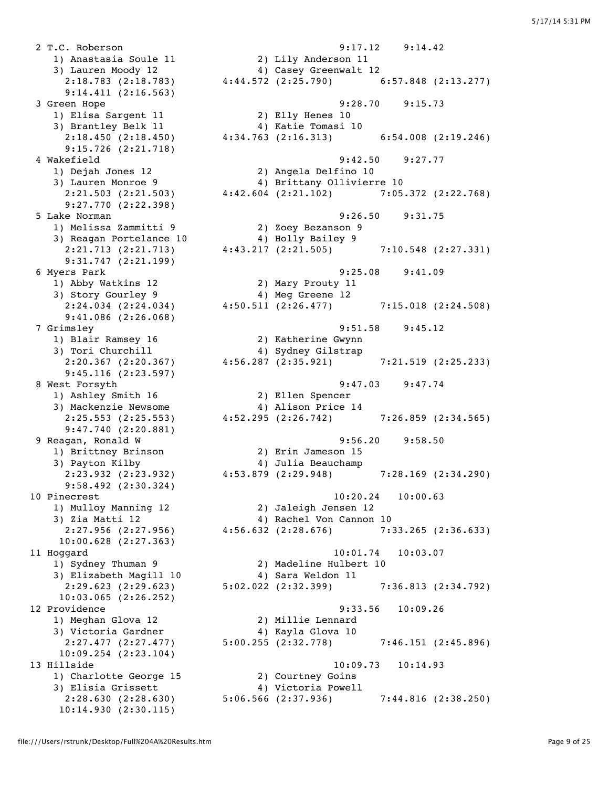2 T.C. Roberson 9:17.12 9:14.42 9:14.411 (2:16.563) 1) Elisa Sargent 11 2) Elly Henes 10 3) Brantley Belk 11 (4) Katie Tomasi 10 9:15.726 (2:21.718) 9:27.770 (2:22.398) 1) Melissa Zammitti 9 2) Zoey Bezanson 9 3) Reagan Portelance 10  $\hskip 4.0cm 4$  Holly Bailey 9 9:31.747 (2:21.199) 1) Abby Watkins 12 2) Mary Prouty 11 3) Story Gourley 9 4) Meg Greene 12 9:41.086 (2:26.068) 1) Blair Ramsey 16 2) Katherine Gwynn 3) Tori Churchill 4) Sydney Gilstrap 9:45.116 (2:23.597) 1) Ashley Smith 16 2) Ellen Spencer 3) Mackenzie Newsome 4) Alison Price 14 9:47.740 (2:20.881) 1) Brittney Brinson 2) Erin Jameson 15 3) Payton Kilby 1988 (4) Julia Beauchamp 9:58.492 (2:30.324) 10:00.628 (2:27.363) 3) Elizabeth Magill 10  $\hskip1cm$  4) Sara Weldon 11 10:03.065 (2:26.252) 1) Meghan Glova 12 2) Millie Lennard 3) Victoria Gardner 4) Kayla Glova 10 10:09.254 (2:23.104) 1) Charlotte George 15 2) Courtney Goins 3) Elisia Grissett 4) Victoria Powell 10:14.930 (2:30.115)

 1) Anastasia Soule 11 2) Lily Anderson 11 3) Lauren Moody 12 4) Casey Greenwalt 12 2:18.783 (2:18.783) 4:44.572 (2:25.790) 6:57.848 (2:13.277) 3 Green Hope 9:28.70 9:15.73 2:18.450 (2:18.450) 4:34.763 (2:16.313) 6:54.008 (2:19.246) 4 Wakefield 9:42.50 9:27.77 1) Dejah Jones 12 2) Angela Delfino 10 3) Lauren Monroe 9 4) Brittany Ollivierre 10 2:21.503 (2:21.503) 4:42.604 (2:21.102) 7:05.372 (2:22.768) 5 Lake Norman 9:26.50 9:31.75 2:21.713 (2:21.713) 4:43.217 (2:21.505) 7:10.548 (2:27.331) 6 Myers Park 9:25.08 9:41.09 2:24.034 (2:24.034) 4:50.511 (2:26.477) 7:15.018 (2:24.508) 7 Grimsley 9:51.58 9:45.12 2:20.367 (2:20.367) 4:56.287 (2:35.921) 7:21.519 (2:25.233) 8 West Forsyth 9:47.03 9:47.74 2:25.553 (2:25.553) 4:52.295 (2:26.742) 7:26.859 (2:34.565) 9 Reagan, Ronald W 9:56.20 9:58.50 2:23.932 (2:23.932) 4:53.879 (2:29.948) 7:28.169 (2:34.290) 10 Pinecrest 10:20.24 10:00.63 1) Mulloy Manning 12 2) Jaleigh Jensen 12<br>3) Zia Matti 12 2 4) Rachel Von Cannon 3) Zia Matti 12 4) Rachel Von Cannon 10 2:27.956 (2:27.956) 4:56.632 (2:28.676) 7:33.265 (2:36.633) 11 Hoggard 10:01.74 10:03.07 1) Sydney Thuman 9 2) Madeline Hulbert 10 2:29.623 (2:29.623) 5:02.022 (2:32.399) 7:36.813 (2:34.792) 12 Providence 9:33.56 10:09.26 2:27.477 (2:27.477) 5:00.255 (2:32.778) 7:46.151 (2:45.896) 13 Hillside 10:09.73 10:14.93 Elisia Grissett (a) 4) victoria Powell<br>2:28.630 (2:28.630) 5:06.566 (2:37.936) 7:44.816 (2:38.250)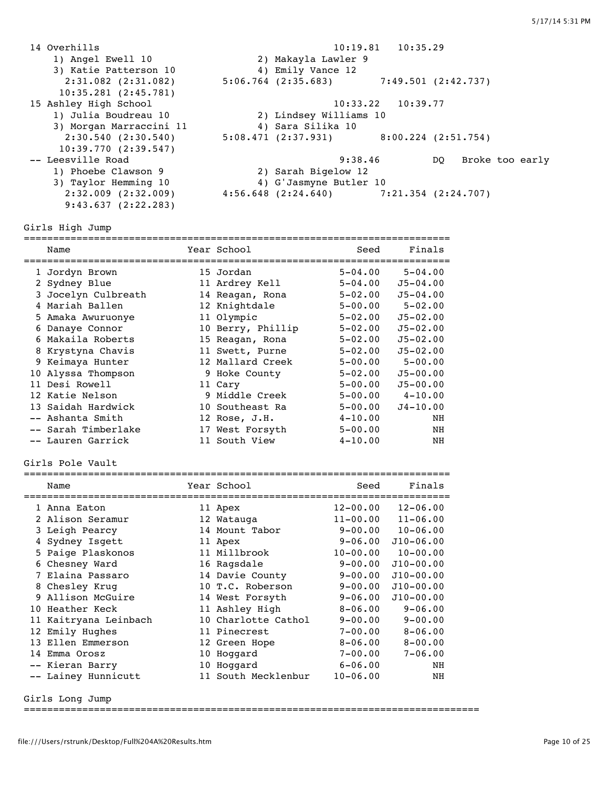14 Overhills 10:19.81 10:35.29 1) Angel Ewell 10 2) Makayla Lawler 9 3) Katie Patterson 10 <a>
4) Emily Vance 12 2:31.082 (2:31.082) 5:06.764 (2:35.683) 7:49.501 (2:42.737) 10:35.281 (2:45.781)<br>15 Ashley High School 15 Ashley High School 10:33.22 10:39.77 1) Julia Boudreau 10 2) Lindsey Williams 10 3) Morgan Marraccini 11  $\hphantom{i\rm{i}}7$  4) Sara Silika 10 2:30.540 (2:30.540) 5:08.471 (2:37.931) 8:00.224 (2:51.754) 10:39.770 (2:39.547) -- Leesville Road 9:38.46 DQ Broke too early 1) Phoebe Clawson 9 2) Sarah Bigelow 12 3) Taylor Hemming 10 4) G'Jasmyne Butler 10 2:32.009 (2:32.009) 4:56.648 (2:24.640) 7:21.354 (2:24.707) 9:43.637 (2:22.283)

Girls High Jump

=========================================================================  $S_{\alpha\alpha}$  Finals

| Nallie              | rear school       | seea        | r fuats      |
|---------------------|-------------------|-------------|--------------|
| 1 Jordyn Brown      | 15 Jordan         | $5 - 04.00$ | $5 - 04.00$  |
| 2 Sydney Blue       | 11 Ardrey Kell    | $5 - 04.00$ | $J5 - 04.00$ |
| 3 Jocelyn Culbreath | 14 Reagan, Rona   | $5 - 02.00$ | $J5 - 04.00$ |
| 4 Mariah Ballen     | 12 Knightdale     | $5 - 00.00$ | $5 - 02.00$  |
| 5 Amaka Awuruonye   | 11 Olympic        | $5 - 02.00$ | $J5 - 02.00$ |
| 6 Danaye Connor     | 10 Berry, Phillip | $5 - 02.00$ | $J5 - 02.00$ |
| 6 Makaila Roberts   | 15 Reagan, Rona   | $5 - 02.00$ | $J5 - 02.00$ |
| 8 Krystyna Chavis   | 11 Swett, Purne   | $5 - 02.00$ | $J5 - 02.00$ |
| 9 Keimaya Hunter    | 12 Mallard Creek  | $5 - 00.00$ | $5 - 00.00$  |
| 10 Alyssa Thompson  | 9 Hoke County     | $5 - 02.00$ | $J5 - 00.00$ |
| 11 Desi Rowell      | 11 Cary           | $5 - 00.00$ | $J5 - 00.00$ |
| 12 Katie Nelson     | 9 Middle Creek    | $5 - 00.00$ | $4 - 10.00$  |
| 13 Saidah Hardwick  | 10 Southeast Ra   | $5 - 00.00$ | $J4 - 10.00$ |
| -- Ashanta Smith    | 12 Rose, J.H.     | $4 - 10.00$ | NH           |
| -- Sarah Timberlake | 17 West Forsyth   | $5 - 00.00$ | ΝH           |
| -- Lauren Garrick   | 11 South View     | $4 - 10.00$ | NH           |

Girls Pole Vault

| Name                  |    | Year School         | Seed         | Finals        |
|-----------------------|----|---------------------|--------------|---------------|
| 1 Anna Eaton          |    | 11 Apex             | $12 - 00.00$ | $12 - 06.00$  |
| 2 Alison Seramur      |    | 12 Watauga          | $11 - 00.00$ | $11 - 06.00$  |
| 3 Leigh Pearcy        |    | 14 Mount Tabor      | $9 - 00.00$  | $10 - 06.00$  |
| 4 Sydney Isgett       |    | 11 Apex             | $9 - 06.00$  | $J10 - 06.00$ |
| 5 Paige Plaskonos     |    | 11 Millbrook        | $10 - 00.00$ | $10 - 00.00$  |
| 6 Chesney Ward        |    | 16 Ragsdale         | $9 - 00.00$  | $J10 - 00.00$ |
| 7 Elaina Passaro      |    | 14 Davie County     | $9 - 00.00$  | $J10 - 00.00$ |
| 8 Chesley Kruq        |    | 10 T.C. Roberson    | $9 - 00.00$  | $J10 - 00.00$ |
| 9 Allison McGuire     |    | 14 West Forsyth     | $9 - 06.00$  | $J10 - 00.00$ |
| 10 Heather Keck       |    | 11 Ashley High      | $8 - 06.00$  | $9 - 06.00$   |
| 11 Kaitryana Leinbach |    | 10 Charlotte Cathol | $9 - 00.00$  | $9 - 00.00$   |
| 12 Emily Hughes       |    | 11 Pinecrest        | $7 - 00.00$  | $8 - 06.00$   |
| 13 Ellen Emmerson     |    | 12 Green Hope       | $8 - 06.00$  | $8 - 00.00$   |
| 14 Emma Orosz         | 10 | Hoqqard             | $7 - 00.00$  | $7 - 06.00$   |
| -- Kieran Barry       |    | 10 Hoqqard          | $6 - 06.00$  | NH            |
| -- Lainey Hunnicutt   |    | 11 South Mecklenbur | $10 - 06.00$ | ΝH            |

Girls Long Jump

==============================================================================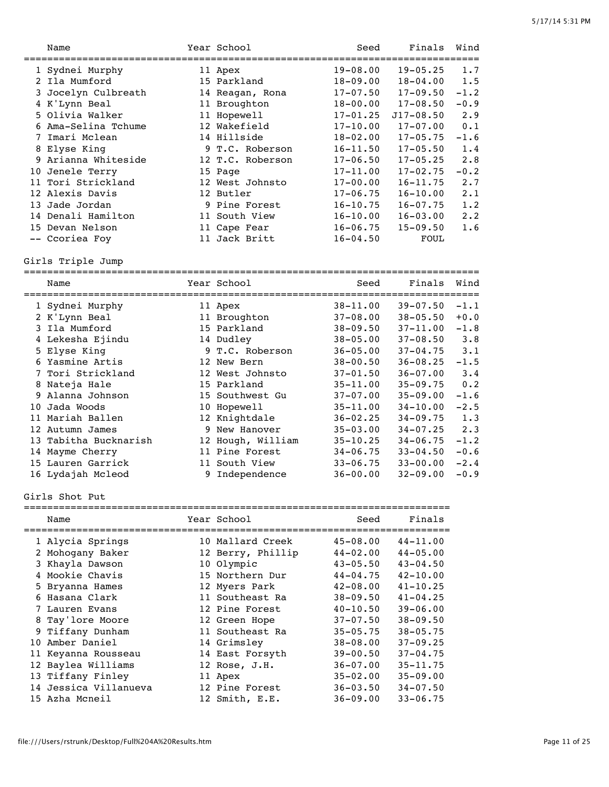|   | Name                                  | Year School                   | Seed                         | Finals                       | Wind       |
|---|---------------------------------------|-------------------------------|------------------------------|------------------------------|------------|
|   | 1 Sydnei Murphy                       | 11 Apex                       | $19 - 08.00$                 | $19 - 05.25$                 | 1.7        |
|   | 2 Ila Mumford                         | 15 Parkland                   | $18 - 09.00$                 | $18 - 04.00$                 | 1.5        |
|   | 3 Jocelyn Culbreath                   | 14 Reagan, Rona               | $17 - 07.50$                 | $17 - 09.50$                 | $-1.2$     |
|   | 4 K'Lynn Beal                         | 11 Broughton                  | $18 - 00.00$                 | $17 - 08.50$                 | $-0.9$     |
|   | 5 Olivia Walker                       | 11 Hopewell                   | $17 - 01.25$                 | J17-08.50                    | 2.9        |
|   | 6 Ama-Selina Tchume                   | 12 Wakefield                  | $17 - 10.00$                 | $17 - 07.00$                 | 0.1        |
|   | 7 Imari Mclean                        | 14 Hillside                   | 18-02.00                     | $17 - 05.75$                 | $-1.6$     |
|   | 8 Elyse King                          | 9 T.C. Roberson               | $16 - 11.50$                 | $17 - 05.50$                 | 1.4        |
|   | 9 Arianna Whiteside                   | 12 T.C. Roberson              | $17 - 06.50$                 | $17 - 05.25$                 | 2.8        |
|   | 10 Jenele Terry                       | 15 Page                       | $17 - 11.00$                 | $17 - 02.75$                 | $-0.2$     |
|   | 11 Tori Strickland                    | 12 West Johnsto               | $17 - 00.00$                 | $16 - 11.75$                 | 2.7        |
|   | 12 Alexis Davis                       | 12 Butler                     | $17 - 06.75$                 | $16 - 10.00$                 | 2.1        |
|   | 13 Jade Jordan                        | 9 Pine Forest                 | $16 - 10.75$                 | $16 - 07.75$                 | 1.2        |
|   | 14 Denali Hamilton<br>15 Devan Nelson | 11 South View                 | $16 - 10.00$<br>$16 - 06.75$ | $16 - 03.00$<br>$15 - 09.50$ | 2.2<br>1.6 |
|   | -- Ccoriea Foy                        | 11 Cape Fear<br>11 Jack Britt | $16 - 04.50$                 | FOUL                         |            |
|   |                                       |                               |                              |                              |            |
|   | Girls Triple Jump                     |                               |                              |                              |            |
|   | Name                                  | Year School                   | Seed                         | Finals                       | Wind       |
|   | 1 Sydnei Murphy                       | 11 Apex                       | $38 - 11.00$                 | $39 - 07.50$                 | $-1.1$     |
|   | 2 K'Lynn Beal                         | 11 Broughton                  | $37 - 08.00$                 | $38 - 05.50$                 | $+0.0$     |
|   | 3 Ila Mumford                         | 15 Parkland                   | $38 - 09.50$                 | $37 - 11.00$                 | $-1.8$     |
|   | 4 Lekesha Ejindu                      | 14 Dudley                     | $38 - 05.00$                 | $37 - 08.50$                 | 3.8        |
|   | 5 Elyse King                          | 9 T.C. Roberson               | $36 - 05.00$                 | $37 - 04.75$                 | 3.1        |
|   | 6 Yasmine Artis                       | 12 New Bern                   | $38 - 00.50$                 | $36 - 08.25$                 | $-1.5$     |
|   | 7 Tori Strickland                     | 12 West Johnsto               | $37 - 01.50$                 | $36 - 07.00$                 | 3.4        |
|   | 8 Nateja Hale                         | 15 Parkland                   | $35 - 11.00$                 | $35 - 09.75$                 | 0.2        |
| 9 | Alanna Johnson                        | 15 Southwest Gu               | $37 - 07.00$                 | $35 - 09.00$                 | $-1.6$     |
|   | 10 Jada Woods                         | 10 Hopewell                   | 35-11.00                     | $34 - 10.00$                 | $-2.5$     |
|   | 11 Mariah Ballen                      | 12 Knightdale                 | $36 - 02.25$                 | $34 - 09.75$                 | 1.3        |
|   | 12 Autumn James                       | 9 New Hanover                 | $35 - 03.00$                 | $34 - 07.25$                 | 2.3        |
|   | 13 Tabitha Bucknarish                 | 12 Hough, William             | $35 - 10.25$                 | $34 - 06.75$                 | $-1.2$     |
|   | 14 Mayme Cherry                       | 11 Pine Forest                | $34 - 06.75$                 | $33 - 04.50$                 | $-0.6$     |
|   | 15 Lauren Garrick                     | 11 South View                 | $33 - 06.75$                 | $33 - 00.00$                 | $-2.4$     |
|   | 16 Lydajah Mcleod                     | 9 Independence                | $36 - 00.00$                 | $32 - 09.00$                 | $-0.9$     |
|   | Girls Shot Put                        |                               |                              |                              |            |
|   | Name                                  | Year School                   | Seed                         | Finals                       |            |
|   |                                       | ================              |                              | =========                    |            |
|   | 1 Alycia Springs                      | 10 Mallard Creek              | $45 - 08.00$                 | $44 - 11.00$                 |            |
|   | 2 Mohogany Baker                      | 12 Berry, Phillip             | $44 - 02.00$                 | $44 - 05.00$                 |            |
|   | 3 Khayla Dawson                       | 10 Olympic                    | $43 - 05.50$                 | $43 - 04.50$                 |            |
|   | 4 Mookie Chavis                       | 15 Northern Dur               | $44 - 04.75$                 | $42 - 10.00$                 |            |
|   | 5 Bryanna Hames                       | 12 Myers Park                 | $42 - 08.00$                 | $41 - 10.25$                 |            |
|   | 6 Hasana Clark                        | 11 Southeast Ra               | $38 - 09.50$                 | $41 - 04.25$                 |            |
|   | 7 Lauren Evans                        | 12 Pine Forest                | $40 - 10.50$                 | $39 - 06.00$                 |            |
|   | 8 Tay'lore Moore                      | 12 Green Hope                 | $37 - 07.50$                 | $38 - 09.50$                 |            |
|   | 9 Tiffany Dunham                      | 11 Southeast Ra               | $35 - 05.75$                 | $38 - 05.75$                 |            |
|   | 10 Amber Daniel                       | 14 Grimsley                   | $38 - 08.00$                 | $37 - 09.25$                 |            |
|   | 11 Keyanna Rousseau                   | 14 East Forsyth               | $39 - 00.50$                 | $37 - 04.75$                 |            |
|   | 12 Baylea Williams                    | 12 Rose, J.H.                 | $36 - 07.00$                 | $35 - 11.75$                 |            |
|   | 13 Tiffany Finley                     | 11 Apex                       | $35 - 02.00$                 | $35 - 09.00$                 |            |
|   | 14 Jessica Villanueva                 | 12 Pine Forest                | $36 - 03.50$                 | $34 - 07.50$                 |            |
|   | 15 Azha Mcneil                        | 12 Smith, E.E.                | $36 - 09.00$                 | $33 - 06.75$                 |            |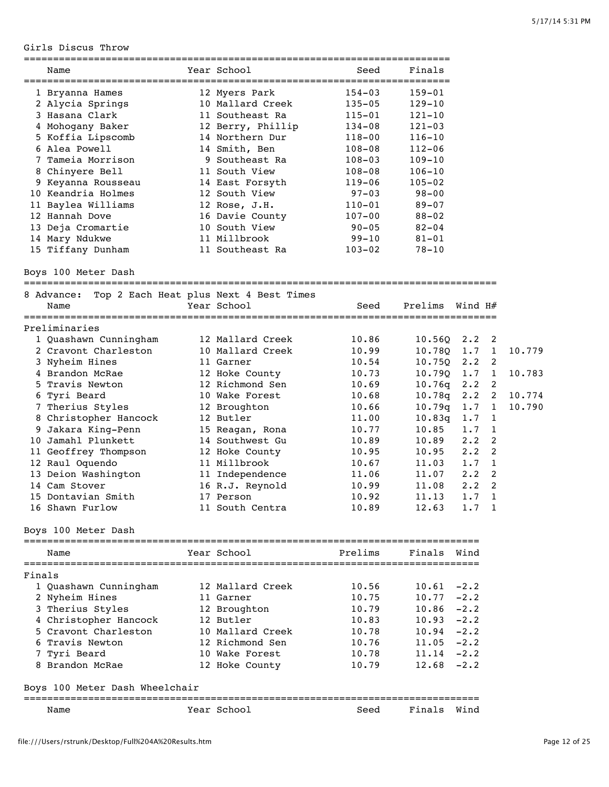Girls Discus Throw

|        | Name                                                      | Year School                       | Seed       | Finals          |             |                |        |
|--------|-----------------------------------------------------------|-----------------------------------|------------|-----------------|-------------|----------------|--------|
|        |                                                           |                                   | $154 - 03$ | $159 - 01$      |             |                |        |
|        | 1 Bryanna Hames<br>2 Alycia Springs                       | 12 Myers Park<br>10 Mallard Creek | $135 - 05$ | $129 - 10$      |             |                |        |
|        | 3 Hasana Clark                                            | 11 Southeast Ra                   | $115 - 01$ | $121 - 10$      |             |                |        |
|        | 4 Mohogany Baker                                          | 12 Berry, Phillip                 | $134 - 08$ | $121 - 03$      |             |                |        |
|        | 5 Koffia Lipscomb                                         | 14 Northern Dur                   | 118-00     | $116 - 10$      |             |                |        |
|        | 6 Alea Powell                                             | 14 Smith, Ben                     | $108 - 08$ | $112 - 06$      |             |                |        |
|        | 7 Tameia Morrison                                         | 9 Southeast Ra                    | $108 - 03$ | $109 - 10$      |             |                |        |
|        | 8 Chinyere Bell                                           | 11 South View                     | 108-08     | $106 - 10$      |             |                |        |
|        | 9 Keyanna Rousseau                                        | 14 East Forsyth                   | $119 - 06$ | $105 - 02$      |             |                |        |
|        | 10 Keandria Holmes                                        | 12 South View                     | $97 - 03$  | $98 - 00$       |             |                |        |
|        | 11 Baylea Williams                                        | 12 Rose, J.H.                     | $110 - 01$ | $89 - 07$       |             |                |        |
|        | 12 Hannah Dove                                            | 16 Davie County                   | $107 - 00$ | $88 - 02$       |             |                |        |
|        | 13 Deja Cromartie                                         | 10 South View                     | $90 - 05$  | $82 - 04$       |             |                |        |
|        | 14 Mary Ndukwe                                            | 11 Millbrook                      | $99 - 10$  | 81-01           |             |                |        |
|        | 15 Tiffany Dunham                                         | 11 Southeast Ra                   | $103 - 02$ | 78-10           |             |                |        |
|        | Boys 100 Meter Dash                                       |                                   |            |                 |             |                |        |
|        |                                                           |                                   |            |                 |             |                |        |
|        | 8 Advance: Top 2 Each Heat plus Next 4 Best Times<br>Name | Year School                       | Seed       | Prelims         | Wind H#     |                |        |
|        |                                                           |                                   |            |                 |             |                |        |
|        | Preliminaries                                             |                                   |            |                 |             |                |        |
|        | 1 Quashawn Cunningham                                     | 12 Mallard Creek                  | 10.86      | 10.56Q          | $2 \cdot 2$ | - 2            |        |
|        | 2 Cravont Charleston                                      | 10 Mallard Creek                  | 10.99      | 10.78Q          | 1.7         | $\mathbf{1}$   | 10.779 |
|        | 3 Nyheim Hines                                            | 11 Garner                         | 10.54      | 10.75Q          | $2 \cdot 2$ | 2              |        |
|        | 4 Brandon McRae                                           | 12 Hoke County                    | 10.73      | 10.79Q          | 1.7         | $\mathbf{1}$   | 10.783 |
|        | 5 Travis Newton                                           | 12 Richmond Sen                   | 10.69      | 10.76q          | $2 \cdot 2$ | 2              |        |
|        | 6 Tyri Beard                                              | 10 Wake Forest                    | 10.68      | 10.78q          | $2 \cdot 2$ | $\overline{2}$ | 10.774 |
|        | 7 Therius Styles                                          | 12 Broughton                      | 10.66      | 10.79q          | 1.7         | $\mathbf{1}$   | 10.790 |
|        | 8 Christopher Hancock                                     | 12 Butler                         | 11.00      | 10.83q          | 1.7         | 1              |        |
|        | 9 Jakara King-Penn                                        | 15 Reagan, Rona                   | 10.77      | 10.85           | 1.7         | 1              |        |
|        | 10 Jamahl Plunkett                                        | 14 Southwest Gu                   | 10.89      | 10.89           | $2 \cdot 2$ | 2              |        |
|        | 11 Geoffrey Thompson                                      | 12 Hoke County                    | 10.95      | 10.95           | $2 \cdot 2$ | 2              |        |
|        | 12 Raul Oquendo                                           | 11 Millbrook                      | 10.67      | 11.03           | 1.7         | 1              |        |
|        | 13 Deion Washington                                       | 11 Independence                   | 11.06      | 11.07           | $2 \cdot 2$ | 2              |        |
|        | 14 Cam Stover                                             | 16 R.J. Reynold                   | 10.99      | 11.08           | $2 \cdot 2$ | $\overline{c}$ |        |
|        | 15 Dontavian Smith                                        | 17 Person                         | 10.92      | $11.13$ 1.7 1   |             |                |        |
|        | 16 Shawn Furlow                                           | 11 South Centra                   | 10.89      | $12.63$ $1.7$ 1 |             |                |        |
|        | Boys 100 Meter Dash                                       |                                   |            |                 |             |                |        |
|        | Name                                                      | Year School                       | Prelims    | Finals          | Wind        |                |        |
| Finals |                                                           |                                   |            |                 |             |                |        |
|        | 1 Quashawn Cunningham                                     | 12 Mallard Creek                  | 10.56      | $10.61 - 2.2$   |             |                |        |
|        | 2 Nyheim Hines                                            | 11 Garner                         | 10.75      | $10.77 - 2.2$   |             |                |        |
|        | 3 Therius Styles                                          | 12 Broughton                      | 10.79      | $10.86 - 2.2$   |             |                |        |
|        | 4 Christopher Hancock                                     | 12 Butler                         | 10.83      | $10.93 -2.2$    |             |                |        |
|        | 5 Cravont Charleston                                      | 10 Mallard Creek                  | 10.78      | $10.94 - 2.2$   |             |                |        |
|        | 6 Travis Newton                                           | 12 Richmond Sen                   | 10.76      | $11.05 -2.2$    |             |                |        |
|        | 7 Tyri Beard                                              | 10 Wake Forest                    | 10.78      | $11.14 - 2.2$   |             |                |        |
|        | 8 Brandon McRae                                           | 12 Hoke County                    | 10.79      | $12.68 - 2.2$   |             |                |        |
|        | Boys 100 Meter Dash Wheelchair                            |                                   |            |                 |             |                |        |
|        |                                                           |                                   |            |                 |             |                |        |
|        | Name                                                      | Year School                       | Seed       | Finals Wind     |             |                |        |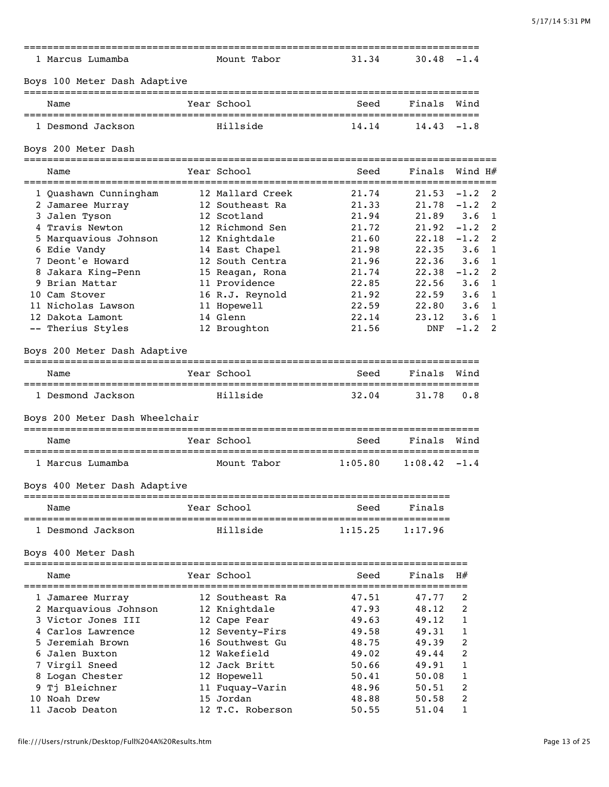| 1 Marcus Lumamba                                            | Mount Tabor      | 31.34   | $30.48 - 1.4$ |                     |
|-------------------------------------------------------------|------------------|---------|---------------|---------------------|
| Boys 100 Meter Dash Adaptive<br>=========================== |                  |         |               |                     |
| Name                                                        | Year School      | Seed    | Finals        | Wind                |
| 1 Desmond Jackson                                           | Hillside         | 14.14   | 14.43         | $-1.8$              |
| Boys 200 Meter Dash                                         |                  |         |               |                     |
| Name                                                        | Year School      | Seed    |               | Finals Wind $H#$    |
| 1 Quashawn Cunningham                                       | 12 Mallard Creek | 21.74   | 21.53         | $-1.2$<br>2         |
| 2 Jamaree Murray                                            | 12 Southeast Ra  | 21.33   | 21.78         | $-1.2$<br>2         |
| 3 Jalen Tyson                                               | 12 Scotland      | 21.94   | 21.89         | 3.6<br>1            |
| 4 Travis Newton                                             | 12 Richmond Sen  | 21.72   | 21.92         | 2<br>$-1.2$         |
| 5 Marquavious Johnson                                       | 12 Knightdale    | 21.60   | 22.18         | 2<br>$-1.2$         |
| 6 Edie Vandy                                                | 14 East Chapel   | 21.98   | 22.35         | $\mathbf{1}$<br>3.6 |
| 7 Deont'e Howard                                            | 12 South Centra  | 21.96   | 22.36         | $\mathbf{1}$<br>3.6 |
| 8 Jakara King-Penn                                          | 15 Reagan, Rona  | 21.74   | 22.38         | $-1.2$<br>2         |
| 9 Brian Mattar                                              | 11 Providence    | 22.85   | 22.56         | 3.6<br>1            |
| 10 Cam Stover                                               | 16 R.J. Reynold  | 21.92   | 22.59         | 3.6<br>1            |
| 11 Nicholas Lawson                                          | 11 Hopewell      | 22.59   | 22.80         | 3.6<br>1            |
| 12 Dakota Lamont                                            | 14 Glenn         | 22.14   | 23.12         | $\mathbf{1}$<br>3.6 |
| -- Therius Styles                                           | 12 Broughton     | 21.56   | DNF           | 2<br>$-1.2$         |
| Boys 200 Meter Dash Adaptive<br>Name                        | Year School      | Seed    | Finals        | Wind                |
|                                                             |                  |         |               |                     |
| 1 Desmond Jackson                                           | Hillside         | 32.04   | 31.78         | 0.8                 |
| Boys 200 Meter Dash Wheelchair                              |                  |         |               |                     |
| Name                                                        | Year School      | Seed    | Finals        | Wind                |
| 1 Marcus Lumamba                                            | Mount Tabor      | 1:05.80 | 1:08.42       | $-1.4$              |
| Boys 400 Meter Dash Adaptive                                |                  |         |               |                     |
| Name                                                        | Year School      | Seed    | Finals        |                     |
| 1 Desmond Jackson                                           | Hillside         | 1:15.25 | 1:17.96       |                     |
| Boys 400 Meter Dash                                         |                  |         |               |                     |
|                                                             |                  |         |               |                     |
| Name                                                        | Year School      | Seed    | Finals        | H#                  |
| 1 Jamaree Murray                                            | 12 Southeast Ra  | 47.51   | 47.77         | 2                   |
| 2 Marquavious Johnson                                       | 12 Knightdale    | 47.93   | 48.12         | 2                   |
| 3 Victor Jones III                                          | 12 Cape Fear     | 49.63   | 49.12         | 1                   |
| 4 Carlos Lawrence                                           | 12 Seventy-Firs  | 49.58   | 49.31         | 1                   |
| 5 Jeremiah Brown                                            | 16 Southwest Gu  | 48.75   | 49.39         | 2                   |
| 6 Jalen Buxton                                              | 12 Wakefield     | 49.02   | 49.44         | 2                   |
| 7 Virgil Sneed                                              | 12 Jack Britt    | 50.66   | 49.91         | 1                   |
| 8 Logan Chester                                             | 12 Hopewell      | 50.41   | 50.08         | 1                   |
| Tj Bleichner                                                | 11 Fuquay-Varin  | 48.96   | 50.51         | 2                   |
| 10 Noah Drew                                                | 15 Jordan        | 48.88   | 50.58         | 2                   |
| 11 Jacob Deaton                                             | 12 T.C. Roberson | 50.55   | 51.04         | 1                   |
|                                                             |                  |         |               |                     |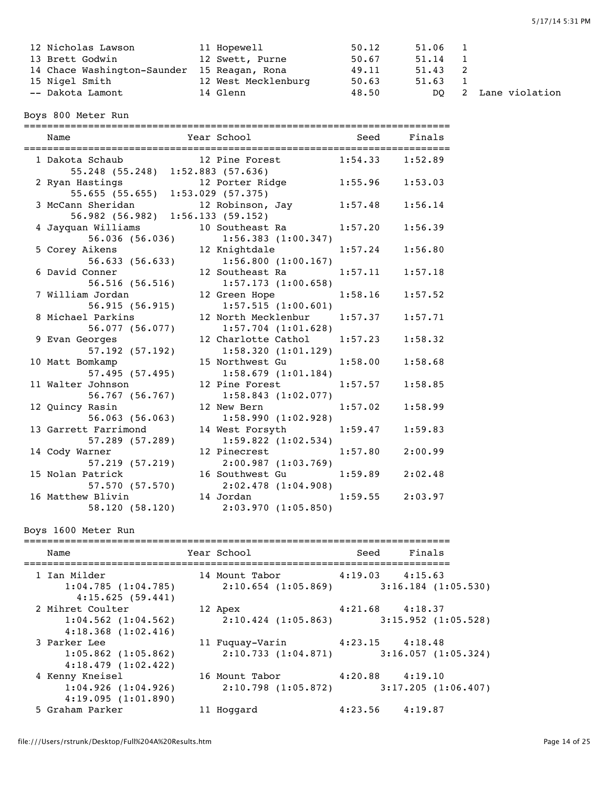| 12 Nicholas Lawson                          | 11 Hopewell         | 50.12 | 51.06 1 |                     |
|---------------------------------------------|---------------------|-------|---------|---------------------|
| 13 Brett Godwin                             | 12 Swett, Purne     | 50.67 | 51.14 1 |                     |
| 14 Chace Washington-Saunder 15 Reagan, Rona |                     | 49.11 | 51.43 2 |                     |
| 15 Nigel Smith                              | 12 West Mecklenburg | 50.63 | 51.63 1 |                     |
| -- Dakota Lamont                            | 14 Glenn            | 48.50 |         | DO 2 Lane violation |

Boys 800 Meter Run

========================================================================= Name The Year School Seed Finals ========================================================================= 1 Dakota Schaub 12 Pine Forest 1:54.33 1:52.89 55.248 (55.248) 1:52.883 (57.636) 2 Ryan Hastings 12 Porter Ridge 1:55.96 1:53.03 55.655 (55.655) 1:53.029 (57.375)<br>3 McCann Sheridan 12 Robinson, 12 Robinson, Jay 1:57.48 1:56.14 56.982 (56.982) 1:56.133 (59.152) 4 Jayquan Williams 10 Southeast Ra 1:57.20 1:56.39 56.036 (56.036) 1:56.383 (1:00.347) 5 Corey Aikens 12 Knightdale 1:57.24 1:56.80 56.633 (56.633) 1:56.800 (1:00.167) 6 David Conner 12 Southeast Ra 1:57.11 1:57.18 56.516 (56.516) 1:57.173 (1:00.658) 7 William Jordan 12 Green Hope 1:58.16 1:57.52 56.915 (56.915) 1:57.515 (1:00.601) 8 Michael Parkins 12 North Mecklenbur 1:57.37 1:57.71 56.077 (56.077) 1:57.704 (1:01.628) 9 Evan Georges 12 Charlotte Cathol 1:57.23 1:58.32 57.192 (57.192) 1:58.320 (1:01.129) 10 Matt Bomkamp 15 Northwest Gu 1:58.00 1:58.68 57.495 (57.495) 1:58.679 (1:01.184) 11 Walter Johnson 12 Pine Forest 1:57.57 1:58.85 56.767 (56.767) 1:58.843 (1:02.077) 12 Quincy Rasin 12 New Bern 1:57.02 1:58.99 56.063 (56.063) 1:58.990 (1:02.928) 13 Garrett Farrimond 14 West Forsyth 1:59.47 1:59.83 57.289 (57.289) 1:59.822 (1:02.534) 14 Cody Warner 12 Pinecrest 1:57.80 2:00.99 57.219 (57.219) 2:00.987 (1:03.769) 15 Nolan Patrick 16 Southwest Gu 1:59.89 2:02.48 57.570 (57.570) 2:02.478 (1:04.908) 16 Matthew Blivin 14 Jordan 1:59.55 2:03.97 58.120 (58.120) 2:03.970 (1:05.850)

## Boys 1600 Meter Run

| Name                                                          | Year School                                                                        | Seed Finals         |  |
|---------------------------------------------------------------|------------------------------------------------------------------------------------|---------------------|--|
| 1 Ian Milder<br>1:04.785(1:04.785)                            | 14 Mount Tabor 4:19.03 4:15.63<br>$2:10.654$ (1:05.869) 3:16.184 (1:05.530)        |                     |  |
| 4:15.625(59.441)<br>2 Mihret Coulter                          | 12 Apex                                                                            | $4:21.68$ $4:18.37$ |  |
| $1:04.562$ $(1:04.562)$<br>$4:18.368$ $(1:02.416)$            | $2:10.424$ (1:05.863) 3:15.952 (1:05.528)                                          |                     |  |
| 3 Parker Lee<br>$1:05.862$ $(1:05.862)$<br>4:18.479(1:02.422) | 11 Fuquay-Varin 4:23.15 4:18.48<br>$2:10.733$ $(1:04.871)$ $3:16.057$ $(1:05.324)$ |                     |  |
| 4 Kenny Kneisel<br>1:04.926(1:04.926)<br>4:19.095(1:01.890)   | 16 Mount Tabor 4:20.88 4:19.10<br>$2:10.798$ (1:05.872) 3:17.205 (1:06.407)        |                     |  |
| 5 Graham Parker                                               | 11 Hoqqard                                                                         | $4:23.56$ $4:19.87$ |  |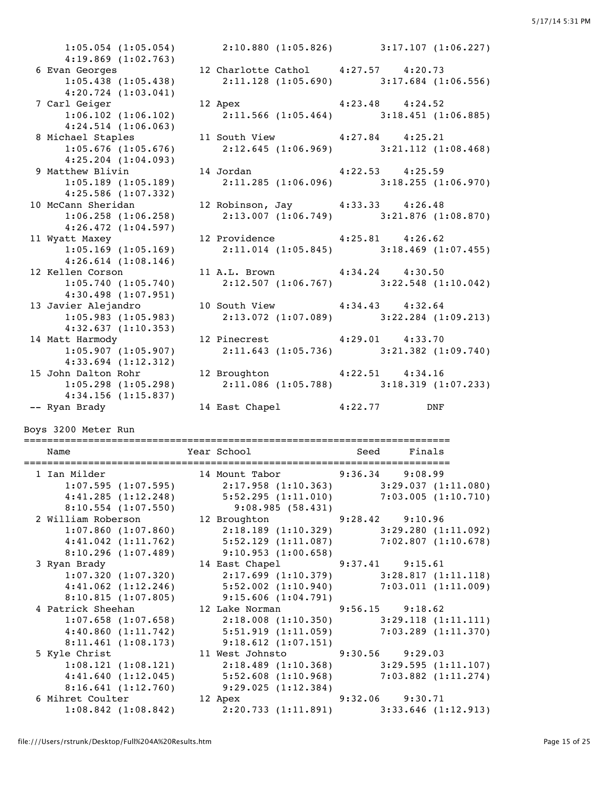1:05.054 (1:05.054) 2:10.880 (1:05.826) 3:17.107 (1:06.227) 4:19.869 (1:02.763) 6 Evan Georges 12 Charlotte Cathol 4:27.57 4:20.73 1:05.438 (1:05.438) 2:11.128 (1:05.690) 3:17.684 (1:06.556) 4:20.724 (1:03.041) 7 Carl Geiger 12 Apex 4:23.48 4:24.52 1:06.102 (1:06.102) 2:11.566 (1:05.464) 3:18.451 (1:06.885) 4:24.514 (1:06.063) 8 Michael Staples 11 South View 4:27.84 4:25.21 1:05.676 (1:05.676) 2:12.645 (1:06.969) 3:21.112 (1:08.468) 4:25.204 (1:04.093) 4:25.204 (1:04.093)<br>9 Matthew Blivin 14 Jordan 4:22.53 4:25.59 1 1:05.189 (1:05.189) 2:11.285 (1:06.096) 3:18.255 (1:06.970) 4:25.586 (1:07.332) 10 McCann Sheridan 12 Robinson, Jay 4:33.33 4:26.48 1:06.258 (1:06.258) 2:13.007 (1:06.749) 3:21.876 (1:08.870) 4:26.472 (1:04.597) 11 Wyatt Maxey 12 Providence 4:25.81 4:26.62<br>1:05.169 (1:05.169) 2:11.014 (1:05.845) 3:18.469 (1 1:05.169 (1:05.169) 2:11.014 (1:05.845) 3:18.469 (1:07.455) 4:26.614 (1:08.146) 12 Kellen Corson 11 A.L. Brown 4:34.24 4:30.50 1:05.740 (1:05.740) 2:12.507 (1:06.767) 3:22.548 (1:10.042) 4:30.498 (1:07.951) 4:30.498 (1:07.951)<br>13 Javier Alejandro 10 South View 4:34.43 4:32.64<br>11 3:22.284 (1 1:05.983 (1:05.983) 2:13.072 (1:07.089) 3:22.284 (1:09.213) 4:32.637 (1:10.353) 14 Matt Harmody 12 Pinecrest 4:29.01 4:33.70 1:05.907 (1:05.907) 2:11.643 (1:05.736) 3:21.382 (1:09.740) 4:33.694 (1:12.312) 15 John Dalton Rohr 12 Broughton 4:22.51 4:34.16 1:05.298 (1:05.298) 2:11.086 (1:05.788) 3:18.319 (1:07.233) 4:34.156 (1:15.837) -- Ryan Brady 14 East Chapel 4:22.77 DNF

Boys 3200 Meter Run

| Name                                                                                        | Year School and Seed Finals    |  |                                           |
|---------------------------------------------------------------------------------------------|--------------------------------|--|-------------------------------------------|
| 1 Ian Milder 14 Mount Tabor 9:36.34 9:08.99                                                 |                                |  |                                           |
| 1:07.595 (1:07.595) 2:17.958 (1:10.363) 3:29.037 (1:11.080)                                 |                                |  |                                           |
| 4:41.285 (1:12.248) 5:52.295 (1:11.010) 7:03.005 (1:10.710)                                 |                                |  |                                           |
| 8:10.554 (1:07.550) 9:08.985 (58.431)<br>2 William Roberson 12 Broughton 9:28.42 9:10.96    |                                |  |                                           |
|                                                                                             |                                |  |                                           |
| $1:07.860$ (1:07.860) $2:18.189$ (1:10.329) $3:29.280$ (1:11.092)                           |                                |  |                                           |
| 4:41.042 (1:11.762) 5:52.129 (1:11.087) 7:02.807 (1:10.678)                                 |                                |  |                                           |
| $8:10.296$ (1:07.489) 9:10.953 (1:00.658)                                                   |                                |  |                                           |
| 3 Ryan Brady                                                                                | 14 East Chapel 9:37.41 9:15.61 |  |                                           |
| 1:07.320(1:07.320)                                                                          |                                |  | $2:17.699$ (1:10.379) 3:28.817 (1:11.118) |
| 4:41.062 (1:12.246) 5:52.002 (1:10.940) 7:03.011 (1:11.009)                                 |                                |  |                                           |
|                                                                                             |                                |  |                                           |
| 8:10.815 (1:07.805) 9:15.606 (1:04.791)<br>4 Patrick Sheehan 12 Lake Norman 9:56.15 9:18.62 |                                |  |                                           |
| $1:07.658$ $(1:07.658)$                                                                     |                                |  | $2:18.008$ (1:10.350) 3:29.118 (1:11.111) |
| 4:40.860 (1:11.742) 5:51.919 (1:11.059) 7:03.289 (1:11.370)                                 |                                |  |                                           |
| $8:11.461$ (1:08.173) 9:18.612 (1:07.151)                                                   |                                |  |                                           |
| 5 Kyle Christ <b>11 West Johnsto</b> 9:30.56 9:29.03                                        |                                |  |                                           |
| 1:08.121(1:08.121)                                                                          |                                |  | $2:18.489$ (1:10.368) 3:29.595 (1:11.107) |
| 4:41.640 (1:12.045) 5:52.608 (1:10.968) 7:03.882 (1:11.274)                                 |                                |  |                                           |
| $8:16.641(1:12.760)$ $9:29.025(1:12.384)$                                                   |                                |  |                                           |
| 6 Mihret Coulter 12 Apex 9:32.06 9:30.71                                                    |                                |  |                                           |
| 1:08.842 (1:08.842) 2:20.733 (1:11.891) 3:33.646 (1:12.913)                                 |                                |  |                                           |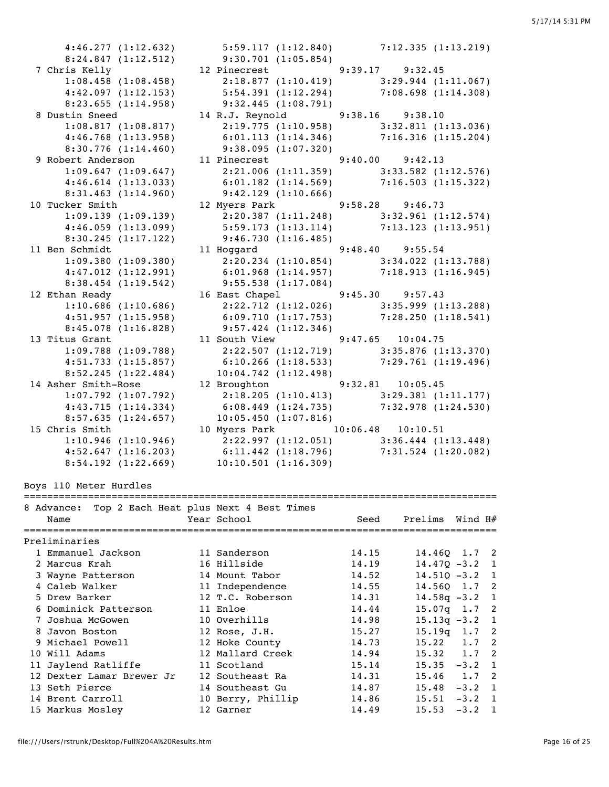4:46.277 (1:12.632) 5:59.117 (1:12.840) 7:12.335 (1:13.219) 8:24.847 (1:12.512) 9:30.701 (1:05.854) 7 Chris Kelly 12 Pinecrest 9:39.17 9:32.45 1:08.458 (1:08.458) 2:18.877 (1:10.419) 3:29.944 (1:11.067) 4:42.097 (1:12.153) 5:54.391 (1:12.294) 7:08.698 (1:14.308) 8:23.655 (1:14.958) 9:32.445 (1:08.791) 8 Dustin Sneed 14 R.J. Reynold 9:38.16 9:38.10 1:08.817 (1:08.817) 2:19.775 (1:10.958) 3:32.811 (1:13.036) 4:46.768 (1:13.958) 6:01.113 (1:14.346) 7:16.316 (1:15.204) 8:30.776 (1:14.460) 9:38.095 (1:07.320) 9 Robert Anderson 11 Pinecrest 9:40.00 9:42.13 1:09.647 (1:09.647) 2:21.006 (1:11.359) 3:33.582 (1:12.576) 4:46.614 (1:13.033) 6:01.182 (1:14.569) 7:16.503 (1:15.322) 8:31.463 (1:14.960) 9:42.129 (1:10.666) 10 Tucker Smith 12 Myers Park 9:58.28 9:46.73 1:09.139 (1:09.139) 2:20.387 (1:11.248) 3:32.961 (1:12.574) 4:46.059 (1:13.099) 5:59.173 (1:13.114) 7:13.123 (1:13.951) 8:30.245 (1:17.122) 9:46.730 (1:16.485) 11 Ben Schmidt 11 Hoggard 9:48.40 9:55.54 1:09.380 (1:09.380) 2:20.234 (1:10.854) 3:34.022 (1:13.788) 4:47.012 (1:12.991) 6:01.968 (1:14.957) 7:18.913 (1:16.945) 8:38.454 (1:19.542) 9:55.538 (1:17.084) 12 Ethan Ready 16 East Chapel 9:45.30 9:57.43 1:10.686 (1:10.686) 2:22.712 (1:12.026) 3:35.999 (1:13.288) 4:51.957 (1:15.958) 6:09.710 (1:17.753) 7:28.250 (1:18.541) 8:45.078 (1:16.828) 9:57.424 (1:12.346) 13 Titus Grant 11 South View 9:47.65 10:04.75 1:09.788 (1:09.788) 2:22.507 (1:12.719) 3:35.876 (1:13.370) 4:51.733 (1:15.857) 6:10.266 (1:18.533) 7:29.761 (1:19.496) 8:52.245 (1:22.484) 10:04.742 (1:12.498) 14 Asher Smith-Rose 12 Broughton 9:32.81 10:05.45 1:07.792 (1:07.792) 2:18.205 (1:10.413) 3:29.381 (1:11.177) 4:43.715 (1:14.334) 6:08.449 (1:24.735) 7:32.978 (1:24.530) 8:57.635 (1:24.657) 10:05.450 (1:07.816) 15 Chris Smith 10 Myers Park 10:06.48 10:10.51 1:10.946 (1:10.946) 2:22.997 (1:12.051) 3:36.444 (1:13.448) 4:52.647 (1:16.203) 6:11.442 (1:18.796) 7:31.524 (1:20.082) 8:54.192 (1:22.669) 10:10.501 (1:16.309) Boys 110 Meter Hurdles ================================================================================= 8 Advance: Top 2 Each Heat plus Next 4 Best Times Name  $\begin{array}{ccccccc} \texttt{Name} & \texttt{New} & \texttt{New} & \texttt{New} & \texttt{New} & \texttt{New} & \texttt{New} & \texttt{New} & \texttt{New} & \texttt{New} & \texttt{New} & \texttt{New} & \texttt{New} & \texttt{New} & \texttt{New} & \texttt{New} & \texttt{New} & \texttt{New} & \texttt{New} & \texttt{New} & \texttt{New} & \texttt{New} & \texttt{New} & \texttt{New} & \texttt{New} & \texttt{New} & \texttt{New} & \texttt{New} & \texttt{New} & \texttt{$ ================================================================================= Preliminaries 1 Emmanuel Jackson 11 Sanderson 14.15 14.46Q 1.7 2 2 Marcus Krah 16 Hillside 14.19 14.47Q -3.2 1 3 Wayne Patterson 14 Mount Tabor 14.52 14.51Q -3.2 1 4 Caleb Walker 11 Independence 14.55 14.56Q 1.7 2 5 Drew Barker 12 T.C. Roberson 14.31 14.58q -3.2 1 6 Dominick Patterson 11 Enloe 14.44 15.07q 1.7 2 7 Joshua McGowen 10 Overhills 14.98 15.13q -3.2 1 8 Javon Boston 12 Rose, J.H. 15.27 15.19q 1.7 2 9 Michael Powell 12 Hoke County 14.73 15.22 1.7 2 10 Will Adams 12 Mallard Creek 14.94 15.32 1.7 2 11 Jaylend Ratliffe 11 Scotland 15.14 15.35 -3.2 1 12 Dexter Lamar Brewer Jr 12 Southeast Ra 14.31 15.46 1.7 2 13 Seth Pierce 14 Southeast Gu 14.87 15.48 -3.2 1

 14 Brent Carroll 10 Berry, Phillip 14.86 15.51 -3.2 1 15 Markus Mosley 12 Garner 14.49 15.53 -3.2 1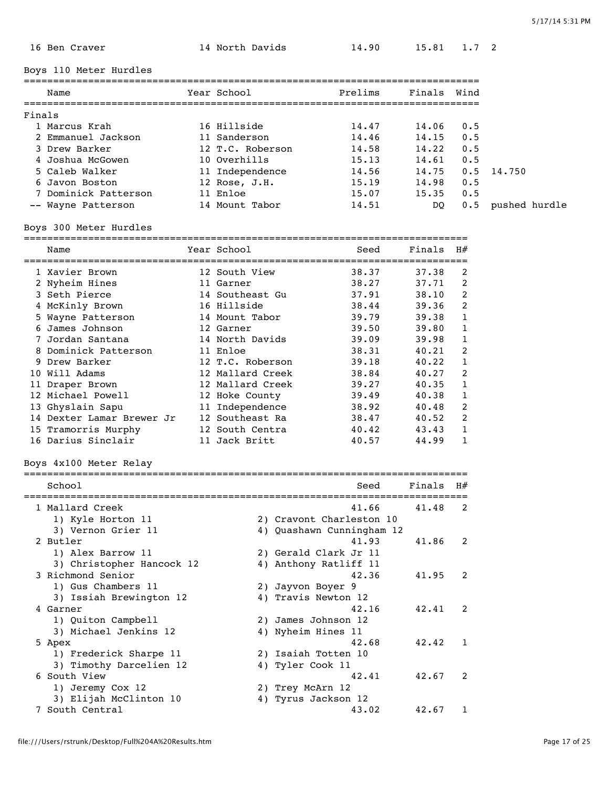|        | 16 Ben Craver             | 14 North Davids   | 14.90                     | 15.81       | 1.7 2        |                   |
|--------|---------------------------|-------------------|---------------------------|-------------|--------------|-------------------|
|        | Boys 110 Meter Hurdles    |                   |                           |             |              |                   |
|        | Name                      | Year School       | Prelims                   | Finals      | Wind         |                   |
|        |                           |                   |                           |             |              |                   |
| Finals |                           |                   |                           |             |              |                   |
|        | 1 Marcus Krah             | 16 Hillside       | 14.47                     | 14.06       | 0.5          |                   |
|        | 2 Emmanuel Jackson        | 11 Sanderson      | 14.46                     | 14.15       | 0.5          |                   |
|        | 3 Drew Barker             | 12 T.C. Roberson  | 14.58                     | 14.22       | 0.5          |                   |
|        | 4 Joshua McGowen          | 10 Overhills      | 15.13                     | 14.61       | 0.5          |                   |
|        | 5 Caleb Walker            | 11 Independence   | 14.56                     | 14.75       | 0.5          | 14.750            |
|        | 6 Javon Boston            | 12 Rose, J.H.     | 15.19                     | 14.98       | 0.5          |                   |
|        | 7 Dominick Patterson      | 11 Enloe          | 15.07                     | 15.35       | 0.5          |                   |
|        | -- Wayne Patterson        | 14 Mount Tabor    | 14.51                     | DO.         |              | 0.5 pushed hurdle |
|        | Boys 300 Meter Hurdles    |                   |                           |             |              |                   |
|        | Name                      | Year School       | Seed                      | $Finals$ H# |              |                   |
|        |                           |                   |                           |             |              |                   |
|        | 1 Xavier Brown            | 12 South View     | 38.37                     | 37.38       | 2            |                   |
|        | 2 Nyheim Hines            | 11 Garner         | 38.27                     | 37.71       | 2            |                   |
|        | 3 Seth Pierce             | 14 Southeast Gu   | 37.91                     | 38.10       | 2            |                   |
|        | 4 McKinly Brown           | 16 Hillside       | 38.44                     | 39.36       | 2            |                   |
|        | 5 Wayne Patterson         | 14 Mount Tabor    | 39.79                     | 39.38       | 1            |                   |
|        | 6 James Johnson           | 12 Garner         | 39.50                     | 39.80       | 1            |                   |
|        | 7 Jordan Santana          | 14 North Davids   | 39.09                     | 39.98       | 1            |                   |
|        | 8 Dominick Patterson      | 11 Enloe          | 38.31                     | 40.21       | 2            |                   |
|        | 9 Drew Barker             | 12 T.C. Roberson  | 39.18                     | 40.22       | 1            |                   |
|        | 10 Will Adams             | 12 Mallard Creek  | 38.84                     | 40.27       | 2            |                   |
|        | 11 Draper Brown           | 12 Mallard Creek  | 39.27                     | 40.35       | 1            |                   |
|        | 12 Michael Powell         | 12 Hoke County    | 39.49                     | 40.38       | 1            |                   |
|        | 13 Ghyslain Sapu          | 11 Independence   | 38.92                     | 40.48       | 2            |                   |
|        | 14 Dexter Lamar Brewer Jr | 12 Southeast Ra   | 38.47                     | 40.52       | 2            |                   |
|        | 15 Tramorris Murphy       | 12 South Centra   | 40.42                     | 43.43       | $\mathbf{1}$ |                   |
|        | 16 Darius Sinclair        | 11 Jack Britt     | 40.57                     | 44.99       | 1            |                   |
|        |                           |                   |                           |             |              |                   |
|        | Boys 4x100 Meter Relay    |                   |                           |             |              |                   |
|        | School                    |                   | Seed                      | Finals      | H#           |                   |
|        | 1 Mallard Creek           | --------------    | 41.66                     | 41.48       | 2            |                   |
|        | 1) Kyle Horton 11         |                   | 2) Cravont Charleston 10  |             |              |                   |
|        |                           |                   | 4) Quashawn Cunningham 12 |             |              |                   |
|        | 3) Vernon Grier 11        |                   |                           |             |              |                   |
|        | 2 Butler                  |                   | 41.93                     | 41.86       | 2            |                   |
|        | 1) Alex Barrow 11         |                   | 2) Gerald Clark Jr 11     |             |              |                   |
|        | 3) Christopher Hancock 12 |                   | 4) Anthony Ratliff 11     |             |              |                   |
|        | 3 Richmond Senior         |                   | 42.36                     | 41.95       | 2            |                   |
|        | 1) Gus Chambers 11        | 2) Jayvon Boyer 9 |                           |             |              |                   |
|        | 3) Issiah Brewington 12   |                   | 4) Travis Newton 12       |             |              |                   |
|        | 4 Garner                  |                   | 42.16                     | 42.41       | 2            |                   |
|        | 1) Quiton Campbell        |                   | 2) James Johnson 12       |             |              |                   |

2) James Johnson 12<br>4) Nyheim Hines 11

3) Timothy Darcelien 12

3) Michael Jenkins 12 4) Nyheim Hines 11

1) Frederick Sharpe 11 2) Isaiah Totten 10<br>3) Timothy Darcelien 12 4) Tyler Cook 11

1) Jeremy Cox 12 2) Trey McArn 12 3) Elijah McClinton 10 4) Tyrus Jackson 12

5 Apex 42.68 42.42 1

6 South View 42.41 42.67 2

7 South Central 43.02 42.67 1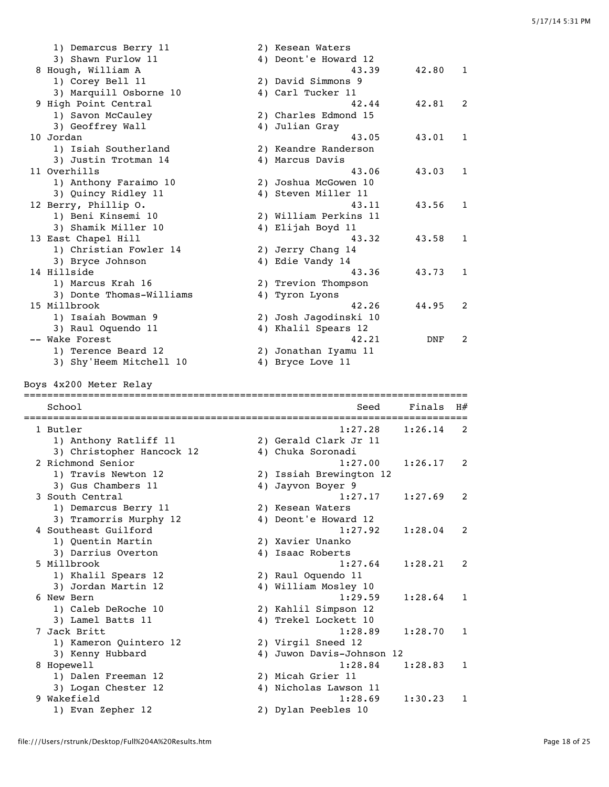| 3) Shawn Furlow 11<br>4) Deont'e Howard 12<br>8 Hough, William A<br>43.39<br>42.80<br>1<br>1) Corey Bell 11<br>2) David Simmons 9<br>3) Marquill Osborne 10<br>4) Carl Tucker 11<br>9 High Point Central<br>42.44<br>42.81<br>2<br>1) Savon McCauley<br>2) Charles Edmond 15<br>3) Geoffrey Wall<br>4) Julian Gray<br>10 Jordan<br>43.05<br>43.01<br>1<br>1) Isiah Southerland<br>2) Keandre Randerson<br>3) Justin Trotman 14<br>4) Marcus Davis<br>11 Overhills<br>43.06<br>43.03<br>1<br>1) Anthony Faraimo 10<br>2) Joshua McGowen 10<br>3) Quincy Ridley 11<br>4) Steven Miller 11<br>12 Berry, Phillip O.<br>43.11<br>43.56<br>1<br>1) Beni Kinsemi 10<br>2) William Perkins 11<br>3) Shamik Miller 10<br>4) Elijah Boyd 11<br>13 East Chapel Hill<br>43.32<br>43.58<br>1<br>1) Christian Fowler 14<br>2) Jerry Chang 14<br>4) Edie Vandy 14<br>3) Bryce Johnson<br>14 Hillside<br>43.36<br>43.73<br>1<br>1) Marcus Krah 16<br>2) Trevion Thompson<br>3) Donte Thomas-Williams<br>4) Tyron Lyons<br>15 Millbrook<br>42.26<br>44.95<br>2<br>1) Isaiah Bowman 9<br>2) Josh Jagodinski 10<br>4) Khalil Spears 12<br>3) Raul Oquendo 11<br>-- Wake Forest<br>42.21<br>2<br>DNF<br>1) Terence Beard 12<br>2) Jonathan Iyamu 11<br>3) Shy'Heem Mitchell 10<br>4) Bryce Love 11<br>Boys 4x200 Meter Relay<br>School<br>Seed<br>Finals<br>H#<br>1:27.28<br>1 Butler<br>1:26.14<br>2<br>1) Anthony Ratliff 11<br>2) Gerald Clark Jr 11<br>3) Christopher Hancock 12<br>4) Chuka Soronadi<br>2 Richmond Senior<br>1:27.00<br>1:26.17<br>2<br>1) Travis Newton 12<br>2) Issiah Brewington 12<br>3) Gus Chambers 11<br>4) Jayvon Boyer 9<br>3 South Central<br>1:27.17<br>1:27.69<br>2<br>2) Kesean Waters<br>1) Demarcus Berry 11<br>3) Tramorris Murphy 12<br>4) Deont'e Howard 12<br>4 Southeast Guilford<br>1:27.92<br>1:28.04<br>2<br>1) Quentin Martin<br>2) Xavier Unanko<br>3) Darrius Overton<br>4) Isaac Roberts<br>5 Millbrook<br>1:27.64<br>1:28.21<br>2<br>1) Khalil Spears 12<br>2) Raul Oquendo 11<br>3) Jordan Martin 12<br>4) William Mosley 10<br>6 New Bern<br>1:29.59<br>1:28.64<br>1<br>1) Caleb DeRoche 10<br>2) Kahlil Simpson 12<br>3) Lamel Batts 11<br>4) Trekel Lockett 10<br>7 Jack Britt<br>1:28.89<br>1:28.70<br>1<br>2) Virgil Sneed 12<br>1) Kameron Quintero 12<br>3) Kenny Hubbard<br>4) Juwon Davis-Johnson 12<br>8 Hopewell<br>1:28.84<br>1:28.83<br>1<br>1) Dalen Freeman 12<br>2) Micah Grier 11<br>3) Logan Chester 12<br>4) Nicholas Lawson 11<br>9 Wakefield<br>1:28.69<br>1:30.23<br>1<br>1) Evan Zepher 12<br>2) Dylan Peebles 10 | 1) Demarcus Berry 11 | 2) Kesean Waters |  |
|------------------------------------------------------------------------------------------------------------------------------------------------------------------------------------------------------------------------------------------------------------------------------------------------------------------------------------------------------------------------------------------------------------------------------------------------------------------------------------------------------------------------------------------------------------------------------------------------------------------------------------------------------------------------------------------------------------------------------------------------------------------------------------------------------------------------------------------------------------------------------------------------------------------------------------------------------------------------------------------------------------------------------------------------------------------------------------------------------------------------------------------------------------------------------------------------------------------------------------------------------------------------------------------------------------------------------------------------------------------------------------------------------------------------------------------------------------------------------------------------------------------------------------------------------------------------------------------------------------------------------------------------------------------------------------------------------------------------------------------------------------------------------------------------------------------------------------------------------------------------------------------------------------------------------------------------------------------------------------------------------------------------------------------------------------------------------------------------------------------------------------------------------------------------------------------------------------------------------------------------------------------------------------------------------------------------------------------------------------------------------------------------------------------------------------------------------------------------------------------------------------------------------------------------------------------------|----------------------|------------------|--|
|                                                                                                                                                                                                                                                                                                                                                                                                                                                                                                                                                                                                                                                                                                                                                                                                                                                                                                                                                                                                                                                                                                                                                                                                                                                                                                                                                                                                                                                                                                                                                                                                                                                                                                                                                                                                                                                                                                                                                                                                                                                                                                                                                                                                                                                                                                                                                                                                                                                                                                                                                                        |                      |                  |  |
|                                                                                                                                                                                                                                                                                                                                                                                                                                                                                                                                                                                                                                                                                                                                                                                                                                                                                                                                                                                                                                                                                                                                                                                                                                                                                                                                                                                                                                                                                                                                                                                                                                                                                                                                                                                                                                                                                                                                                                                                                                                                                                                                                                                                                                                                                                                                                                                                                                                                                                                                                                        |                      |                  |  |
|                                                                                                                                                                                                                                                                                                                                                                                                                                                                                                                                                                                                                                                                                                                                                                                                                                                                                                                                                                                                                                                                                                                                                                                                                                                                                                                                                                                                                                                                                                                                                                                                                                                                                                                                                                                                                                                                                                                                                                                                                                                                                                                                                                                                                                                                                                                                                                                                                                                                                                                                                                        |                      |                  |  |
|                                                                                                                                                                                                                                                                                                                                                                                                                                                                                                                                                                                                                                                                                                                                                                                                                                                                                                                                                                                                                                                                                                                                                                                                                                                                                                                                                                                                                                                                                                                                                                                                                                                                                                                                                                                                                                                                                                                                                                                                                                                                                                                                                                                                                                                                                                                                                                                                                                                                                                                                                                        |                      |                  |  |
|                                                                                                                                                                                                                                                                                                                                                                                                                                                                                                                                                                                                                                                                                                                                                                                                                                                                                                                                                                                                                                                                                                                                                                                                                                                                                                                                                                                                                                                                                                                                                                                                                                                                                                                                                                                                                                                                                                                                                                                                                                                                                                                                                                                                                                                                                                                                                                                                                                                                                                                                                                        |                      |                  |  |
|                                                                                                                                                                                                                                                                                                                                                                                                                                                                                                                                                                                                                                                                                                                                                                                                                                                                                                                                                                                                                                                                                                                                                                                                                                                                                                                                                                                                                                                                                                                                                                                                                                                                                                                                                                                                                                                                                                                                                                                                                                                                                                                                                                                                                                                                                                                                                                                                                                                                                                                                                                        |                      |                  |  |
|                                                                                                                                                                                                                                                                                                                                                                                                                                                                                                                                                                                                                                                                                                                                                                                                                                                                                                                                                                                                                                                                                                                                                                                                                                                                                                                                                                                                                                                                                                                                                                                                                                                                                                                                                                                                                                                                                                                                                                                                                                                                                                                                                                                                                                                                                                                                                                                                                                                                                                                                                                        |                      |                  |  |
|                                                                                                                                                                                                                                                                                                                                                                                                                                                                                                                                                                                                                                                                                                                                                                                                                                                                                                                                                                                                                                                                                                                                                                                                                                                                                                                                                                                                                                                                                                                                                                                                                                                                                                                                                                                                                                                                                                                                                                                                                                                                                                                                                                                                                                                                                                                                                                                                                                                                                                                                                                        |                      |                  |  |
|                                                                                                                                                                                                                                                                                                                                                                                                                                                                                                                                                                                                                                                                                                                                                                                                                                                                                                                                                                                                                                                                                                                                                                                                                                                                                                                                                                                                                                                                                                                                                                                                                                                                                                                                                                                                                                                                                                                                                                                                                                                                                                                                                                                                                                                                                                                                                                                                                                                                                                                                                                        |                      |                  |  |
|                                                                                                                                                                                                                                                                                                                                                                                                                                                                                                                                                                                                                                                                                                                                                                                                                                                                                                                                                                                                                                                                                                                                                                                                                                                                                                                                                                                                                                                                                                                                                                                                                                                                                                                                                                                                                                                                                                                                                                                                                                                                                                                                                                                                                                                                                                                                                                                                                                                                                                                                                                        |                      |                  |  |
|                                                                                                                                                                                                                                                                                                                                                                                                                                                                                                                                                                                                                                                                                                                                                                                                                                                                                                                                                                                                                                                                                                                                                                                                                                                                                                                                                                                                                                                                                                                                                                                                                                                                                                                                                                                                                                                                                                                                                                                                                                                                                                                                                                                                                                                                                                                                                                                                                                                                                                                                                                        |                      |                  |  |
|                                                                                                                                                                                                                                                                                                                                                                                                                                                                                                                                                                                                                                                                                                                                                                                                                                                                                                                                                                                                                                                                                                                                                                                                                                                                                                                                                                                                                                                                                                                                                                                                                                                                                                                                                                                                                                                                                                                                                                                                                                                                                                                                                                                                                                                                                                                                                                                                                                                                                                                                                                        |                      |                  |  |
|                                                                                                                                                                                                                                                                                                                                                                                                                                                                                                                                                                                                                                                                                                                                                                                                                                                                                                                                                                                                                                                                                                                                                                                                                                                                                                                                                                                                                                                                                                                                                                                                                                                                                                                                                                                                                                                                                                                                                                                                                                                                                                                                                                                                                                                                                                                                                                                                                                                                                                                                                                        |                      |                  |  |
|                                                                                                                                                                                                                                                                                                                                                                                                                                                                                                                                                                                                                                                                                                                                                                                                                                                                                                                                                                                                                                                                                                                                                                                                                                                                                                                                                                                                                                                                                                                                                                                                                                                                                                                                                                                                                                                                                                                                                                                                                                                                                                                                                                                                                                                                                                                                                                                                                                                                                                                                                                        |                      |                  |  |
|                                                                                                                                                                                                                                                                                                                                                                                                                                                                                                                                                                                                                                                                                                                                                                                                                                                                                                                                                                                                                                                                                                                                                                                                                                                                                                                                                                                                                                                                                                                                                                                                                                                                                                                                                                                                                                                                                                                                                                                                                                                                                                                                                                                                                                                                                                                                                                                                                                                                                                                                                                        |                      |                  |  |
|                                                                                                                                                                                                                                                                                                                                                                                                                                                                                                                                                                                                                                                                                                                                                                                                                                                                                                                                                                                                                                                                                                                                                                                                                                                                                                                                                                                                                                                                                                                                                                                                                                                                                                                                                                                                                                                                                                                                                                                                                                                                                                                                                                                                                                                                                                                                                                                                                                                                                                                                                                        |                      |                  |  |
|                                                                                                                                                                                                                                                                                                                                                                                                                                                                                                                                                                                                                                                                                                                                                                                                                                                                                                                                                                                                                                                                                                                                                                                                                                                                                                                                                                                                                                                                                                                                                                                                                                                                                                                                                                                                                                                                                                                                                                                                                                                                                                                                                                                                                                                                                                                                                                                                                                                                                                                                                                        |                      |                  |  |
|                                                                                                                                                                                                                                                                                                                                                                                                                                                                                                                                                                                                                                                                                                                                                                                                                                                                                                                                                                                                                                                                                                                                                                                                                                                                                                                                                                                                                                                                                                                                                                                                                                                                                                                                                                                                                                                                                                                                                                                                                                                                                                                                                                                                                                                                                                                                                                                                                                                                                                                                                                        |                      |                  |  |
|                                                                                                                                                                                                                                                                                                                                                                                                                                                                                                                                                                                                                                                                                                                                                                                                                                                                                                                                                                                                                                                                                                                                                                                                                                                                                                                                                                                                                                                                                                                                                                                                                                                                                                                                                                                                                                                                                                                                                                                                                                                                                                                                                                                                                                                                                                                                                                                                                                                                                                                                                                        |                      |                  |  |
|                                                                                                                                                                                                                                                                                                                                                                                                                                                                                                                                                                                                                                                                                                                                                                                                                                                                                                                                                                                                                                                                                                                                                                                                                                                                                                                                                                                                                                                                                                                                                                                                                                                                                                                                                                                                                                                                                                                                                                                                                                                                                                                                                                                                                                                                                                                                                                                                                                                                                                                                                                        |                      |                  |  |
|                                                                                                                                                                                                                                                                                                                                                                                                                                                                                                                                                                                                                                                                                                                                                                                                                                                                                                                                                                                                                                                                                                                                                                                                                                                                                                                                                                                                                                                                                                                                                                                                                                                                                                                                                                                                                                                                                                                                                                                                                                                                                                                                                                                                                                                                                                                                                                                                                                                                                                                                                                        |                      |                  |  |
|                                                                                                                                                                                                                                                                                                                                                                                                                                                                                                                                                                                                                                                                                                                                                                                                                                                                                                                                                                                                                                                                                                                                                                                                                                                                                                                                                                                                                                                                                                                                                                                                                                                                                                                                                                                                                                                                                                                                                                                                                                                                                                                                                                                                                                                                                                                                                                                                                                                                                                                                                                        |                      |                  |  |
|                                                                                                                                                                                                                                                                                                                                                                                                                                                                                                                                                                                                                                                                                                                                                                                                                                                                                                                                                                                                                                                                                                                                                                                                                                                                                                                                                                                                                                                                                                                                                                                                                                                                                                                                                                                                                                                                                                                                                                                                                                                                                                                                                                                                                                                                                                                                                                                                                                                                                                                                                                        |                      |                  |  |
|                                                                                                                                                                                                                                                                                                                                                                                                                                                                                                                                                                                                                                                                                                                                                                                                                                                                                                                                                                                                                                                                                                                                                                                                                                                                                                                                                                                                                                                                                                                                                                                                                                                                                                                                                                                                                                                                                                                                                                                                                                                                                                                                                                                                                                                                                                                                                                                                                                                                                                                                                                        |                      |                  |  |
|                                                                                                                                                                                                                                                                                                                                                                                                                                                                                                                                                                                                                                                                                                                                                                                                                                                                                                                                                                                                                                                                                                                                                                                                                                                                                                                                                                                                                                                                                                                                                                                                                                                                                                                                                                                                                                                                                                                                                                                                                                                                                                                                                                                                                                                                                                                                                                                                                                                                                                                                                                        |                      |                  |  |
|                                                                                                                                                                                                                                                                                                                                                                                                                                                                                                                                                                                                                                                                                                                                                                                                                                                                                                                                                                                                                                                                                                                                                                                                                                                                                                                                                                                                                                                                                                                                                                                                                                                                                                                                                                                                                                                                                                                                                                                                                                                                                                                                                                                                                                                                                                                                                                                                                                                                                                                                                                        |                      |                  |  |
|                                                                                                                                                                                                                                                                                                                                                                                                                                                                                                                                                                                                                                                                                                                                                                                                                                                                                                                                                                                                                                                                                                                                                                                                                                                                                                                                                                                                                                                                                                                                                                                                                                                                                                                                                                                                                                                                                                                                                                                                                                                                                                                                                                                                                                                                                                                                                                                                                                                                                                                                                                        |                      |                  |  |
|                                                                                                                                                                                                                                                                                                                                                                                                                                                                                                                                                                                                                                                                                                                                                                                                                                                                                                                                                                                                                                                                                                                                                                                                                                                                                                                                                                                                                                                                                                                                                                                                                                                                                                                                                                                                                                                                                                                                                                                                                                                                                                                                                                                                                                                                                                                                                                                                                                                                                                                                                                        |                      |                  |  |
|                                                                                                                                                                                                                                                                                                                                                                                                                                                                                                                                                                                                                                                                                                                                                                                                                                                                                                                                                                                                                                                                                                                                                                                                                                                                                                                                                                                                                                                                                                                                                                                                                                                                                                                                                                                                                                                                                                                                                                                                                                                                                                                                                                                                                                                                                                                                                                                                                                                                                                                                                                        |                      |                  |  |
|                                                                                                                                                                                                                                                                                                                                                                                                                                                                                                                                                                                                                                                                                                                                                                                                                                                                                                                                                                                                                                                                                                                                                                                                                                                                                                                                                                                                                                                                                                                                                                                                                                                                                                                                                                                                                                                                                                                                                                                                                                                                                                                                                                                                                                                                                                                                                                                                                                                                                                                                                                        |                      |                  |  |
|                                                                                                                                                                                                                                                                                                                                                                                                                                                                                                                                                                                                                                                                                                                                                                                                                                                                                                                                                                                                                                                                                                                                                                                                                                                                                                                                                                                                                                                                                                                                                                                                                                                                                                                                                                                                                                                                                                                                                                                                                                                                                                                                                                                                                                                                                                                                                                                                                                                                                                                                                                        |                      |                  |  |
|                                                                                                                                                                                                                                                                                                                                                                                                                                                                                                                                                                                                                                                                                                                                                                                                                                                                                                                                                                                                                                                                                                                                                                                                                                                                                                                                                                                                                                                                                                                                                                                                                                                                                                                                                                                                                                                                                                                                                                                                                                                                                                                                                                                                                                                                                                                                                                                                                                                                                                                                                                        |                      |                  |  |
|                                                                                                                                                                                                                                                                                                                                                                                                                                                                                                                                                                                                                                                                                                                                                                                                                                                                                                                                                                                                                                                                                                                                                                                                                                                                                                                                                                                                                                                                                                                                                                                                                                                                                                                                                                                                                                                                                                                                                                                                                                                                                                                                                                                                                                                                                                                                                                                                                                                                                                                                                                        |                      |                  |  |
|                                                                                                                                                                                                                                                                                                                                                                                                                                                                                                                                                                                                                                                                                                                                                                                                                                                                                                                                                                                                                                                                                                                                                                                                                                                                                                                                                                                                                                                                                                                                                                                                                                                                                                                                                                                                                                                                                                                                                                                                                                                                                                                                                                                                                                                                                                                                                                                                                                                                                                                                                                        |                      |                  |  |
|                                                                                                                                                                                                                                                                                                                                                                                                                                                                                                                                                                                                                                                                                                                                                                                                                                                                                                                                                                                                                                                                                                                                                                                                                                                                                                                                                                                                                                                                                                                                                                                                                                                                                                                                                                                                                                                                                                                                                                                                                                                                                                                                                                                                                                                                                                                                                                                                                                                                                                                                                                        |                      |                  |  |
|                                                                                                                                                                                                                                                                                                                                                                                                                                                                                                                                                                                                                                                                                                                                                                                                                                                                                                                                                                                                                                                                                                                                                                                                                                                                                                                                                                                                                                                                                                                                                                                                                                                                                                                                                                                                                                                                                                                                                                                                                                                                                                                                                                                                                                                                                                                                                                                                                                                                                                                                                                        |                      |                  |  |
|                                                                                                                                                                                                                                                                                                                                                                                                                                                                                                                                                                                                                                                                                                                                                                                                                                                                                                                                                                                                                                                                                                                                                                                                                                                                                                                                                                                                                                                                                                                                                                                                                                                                                                                                                                                                                                                                                                                                                                                                                                                                                                                                                                                                                                                                                                                                                                                                                                                                                                                                                                        |                      |                  |  |
|                                                                                                                                                                                                                                                                                                                                                                                                                                                                                                                                                                                                                                                                                                                                                                                                                                                                                                                                                                                                                                                                                                                                                                                                                                                                                                                                                                                                                                                                                                                                                                                                                                                                                                                                                                                                                                                                                                                                                                                                                                                                                                                                                                                                                                                                                                                                                                                                                                                                                                                                                                        |                      |                  |  |
|                                                                                                                                                                                                                                                                                                                                                                                                                                                                                                                                                                                                                                                                                                                                                                                                                                                                                                                                                                                                                                                                                                                                                                                                                                                                                                                                                                                                                                                                                                                                                                                                                                                                                                                                                                                                                                                                                                                                                                                                                                                                                                                                                                                                                                                                                                                                                                                                                                                                                                                                                                        |                      |                  |  |
|                                                                                                                                                                                                                                                                                                                                                                                                                                                                                                                                                                                                                                                                                                                                                                                                                                                                                                                                                                                                                                                                                                                                                                                                                                                                                                                                                                                                                                                                                                                                                                                                                                                                                                                                                                                                                                                                                                                                                                                                                                                                                                                                                                                                                                                                                                                                                                                                                                                                                                                                                                        |                      |                  |  |
|                                                                                                                                                                                                                                                                                                                                                                                                                                                                                                                                                                                                                                                                                                                                                                                                                                                                                                                                                                                                                                                                                                                                                                                                                                                                                                                                                                                                                                                                                                                                                                                                                                                                                                                                                                                                                                                                                                                                                                                                                                                                                                                                                                                                                                                                                                                                                                                                                                                                                                                                                                        |                      |                  |  |
|                                                                                                                                                                                                                                                                                                                                                                                                                                                                                                                                                                                                                                                                                                                                                                                                                                                                                                                                                                                                                                                                                                                                                                                                                                                                                                                                                                                                                                                                                                                                                                                                                                                                                                                                                                                                                                                                                                                                                                                                                                                                                                                                                                                                                                                                                                                                                                                                                                                                                                                                                                        |                      |                  |  |
|                                                                                                                                                                                                                                                                                                                                                                                                                                                                                                                                                                                                                                                                                                                                                                                                                                                                                                                                                                                                                                                                                                                                                                                                                                                                                                                                                                                                                                                                                                                                                                                                                                                                                                                                                                                                                                                                                                                                                                                                                                                                                                                                                                                                                                                                                                                                                                                                                                                                                                                                                                        |                      |                  |  |
|                                                                                                                                                                                                                                                                                                                                                                                                                                                                                                                                                                                                                                                                                                                                                                                                                                                                                                                                                                                                                                                                                                                                                                                                                                                                                                                                                                                                                                                                                                                                                                                                                                                                                                                                                                                                                                                                                                                                                                                                                                                                                                                                                                                                                                                                                                                                                                                                                                                                                                                                                                        |                      |                  |  |
|                                                                                                                                                                                                                                                                                                                                                                                                                                                                                                                                                                                                                                                                                                                                                                                                                                                                                                                                                                                                                                                                                                                                                                                                                                                                                                                                                                                                                                                                                                                                                                                                                                                                                                                                                                                                                                                                                                                                                                                                                                                                                                                                                                                                                                                                                                                                                                                                                                                                                                                                                                        |                      |                  |  |
|                                                                                                                                                                                                                                                                                                                                                                                                                                                                                                                                                                                                                                                                                                                                                                                                                                                                                                                                                                                                                                                                                                                                                                                                                                                                                                                                                                                                                                                                                                                                                                                                                                                                                                                                                                                                                                                                                                                                                                                                                                                                                                                                                                                                                                                                                                                                                                                                                                                                                                                                                                        |                      |                  |  |
|                                                                                                                                                                                                                                                                                                                                                                                                                                                                                                                                                                                                                                                                                                                                                                                                                                                                                                                                                                                                                                                                                                                                                                                                                                                                                                                                                                                                                                                                                                                                                                                                                                                                                                                                                                                                                                                                                                                                                                                                                                                                                                                                                                                                                                                                                                                                                                                                                                                                                                                                                                        |                      |                  |  |
|                                                                                                                                                                                                                                                                                                                                                                                                                                                                                                                                                                                                                                                                                                                                                                                                                                                                                                                                                                                                                                                                                                                                                                                                                                                                                                                                                                                                                                                                                                                                                                                                                                                                                                                                                                                                                                                                                                                                                                                                                                                                                                                                                                                                                                                                                                                                                                                                                                                                                                                                                                        |                      |                  |  |
|                                                                                                                                                                                                                                                                                                                                                                                                                                                                                                                                                                                                                                                                                                                                                                                                                                                                                                                                                                                                                                                                                                                                                                                                                                                                                                                                                                                                                                                                                                                                                                                                                                                                                                                                                                                                                                                                                                                                                                                                                                                                                                                                                                                                                                                                                                                                                                                                                                                                                                                                                                        |                      |                  |  |
|                                                                                                                                                                                                                                                                                                                                                                                                                                                                                                                                                                                                                                                                                                                                                                                                                                                                                                                                                                                                                                                                                                                                                                                                                                                                                                                                                                                                                                                                                                                                                                                                                                                                                                                                                                                                                                                                                                                                                                                                                                                                                                                                                                                                                                                                                                                                                                                                                                                                                                                                                                        |                      |                  |  |
|                                                                                                                                                                                                                                                                                                                                                                                                                                                                                                                                                                                                                                                                                                                                                                                                                                                                                                                                                                                                                                                                                                                                                                                                                                                                                                                                                                                                                                                                                                                                                                                                                                                                                                                                                                                                                                                                                                                                                                                                                                                                                                                                                                                                                                                                                                                                                                                                                                                                                                                                                                        |                      |                  |  |
|                                                                                                                                                                                                                                                                                                                                                                                                                                                                                                                                                                                                                                                                                                                                                                                                                                                                                                                                                                                                                                                                                                                                                                                                                                                                                                                                                                                                                                                                                                                                                                                                                                                                                                                                                                                                                                                                                                                                                                                                                                                                                                                                                                                                                                                                                                                                                                                                                                                                                                                                                                        |                      |                  |  |
|                                                                                                                                                                                                                                                                                                                                                                                                                                                                                                                                                                                                                                                                                                                                                                                                                                                                                                                                                                                                                                                                                                                                                                                                                                                                                                                                                                                                                                                                                                                                                                                                                                                                                                                                                                                                                                                                                                                                                                                                                                                                                                                                                                                                                                                                                                                                                                                                                                                                                                                                                                        |                      |                  |  |
|                                                                                                                                                                                                                                                                                                                                                                                                                                                                                                                                                                                                                                                                                                                                                                                                                                                                                                                                                                                                                                                                                                                                                                                                                                                                                                                                                                                                                                                                                                                                                                                                                                                                                                                                                                                                                                                                                                                                                                                                                                                                                                                                                                                                                                                                                                                                                                                                                                                                                                                                                                        |                      |                  |  |
|                                                                                                                                                                                                                                                                                                                                                                                                                                                                                                                                                                                                                                                                                                                                                                                                                                                                                                                                                                                                                                                                                                                                                                                                                                                                                                                                                                                                                                                                                                                                                                                                                                                                                                                                                                                                                                                                                                                                                                                                                                                                                                                                                                                                                                                                                                                                                                                                                                                                                                                                                                        |                      |                  |  |
|                                                                                                                                                                                                                                                                                                                                                                                                                                                                                                                                                                                                                                                                                                                                                                                                                                                                                                                                                                                                                                                                                                                                                                                                                                                                                                                                                                                                                                                                                                                                                                                                                                                                                                                                                                                                                                                                                                                                                                                                                                                                                                                                                                                                                                                                                                                                                                                                                                                                                                                                                                        |                      |                  |  |
|                                                                                                                                                                                                                                                                                                                                                                                                                                                                                                                                                                                                                                                                                                                                                                                                                                                                                                                                                                                                                                                                                                                                                                                                                                                                                                                                                                                                                                                                                                                                                                                                                                                                                                                                                                                                                                                                                                                                                                                                                                                                                                                                                                                                                                                                                                                                                                                                                                                                                                                                                                        |                      |                  |  |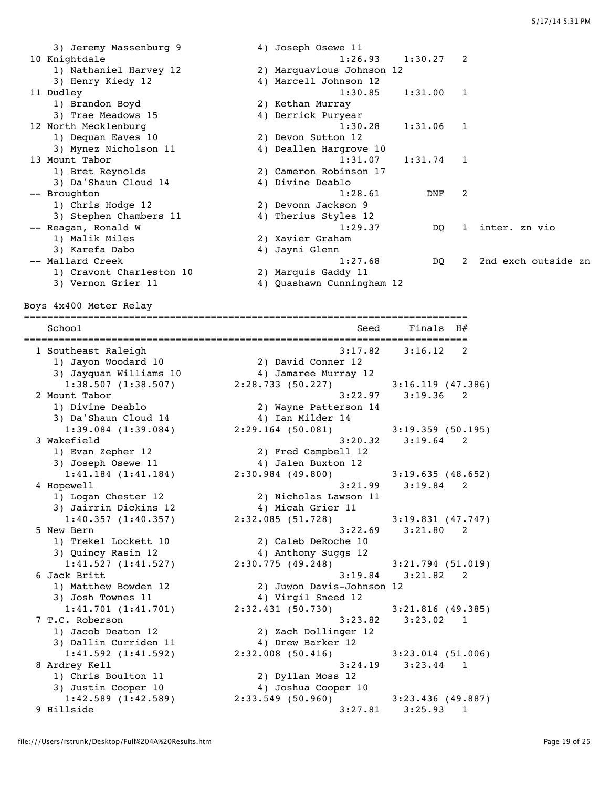3) Jeremy Massenburg 9 4) Joseph Osewe 11 10 Knightdale 1:26.93 1:30.27 2 1) Nathaniel Harvey 12 2) Marquavious Johnson 12 3) Henry Kiedy 12 4) Marcell Johnson 12 11 Dudley 1:30.85 1:31.00 1 1) Brandon Boyd 2) Kethan Murray 3) Trae Meadows 15 4) Derrick Puryear 12 North Mecklenburg 15 and 1:30.28 1:31.06 1<br>12 North Mecklenburg 1:30.28 1:31.06 1 1) Dequan Eaves 10 2) Devon Sutton 12 3) Mynez Nicholson 11 4) Deallen Hargrove 10 13 Mount Tabor 1:31.07 1:31.74 1 1) Bret Reynolds 2) Cameron Robinson 17 3) Da'Shaun Cloud 14  $\hskip1cm \hskip1cm 4$ ) Divine Deablo -- Broughton 1:28.61 DNF 2 1) Chris Hodge 12 2) Devonn Jackson 9 3) Stephen Chambers 11 4) Therius Styles 12 -- Reagan, Ronald W 1:29.37 DQ 1 inter. zn vio<br>-- Reagan, Ronald W 1:29.37 DQ 1 inter. zn vio 1) Malik Miles 2) Xavier Graham 3) Karefa Dabo 4) Jayni Glenn -- Mallard Creek 1:27.68 DQ 2 2nd exch outside zn 1) Cravont Charleston 10 2) Marquis Gaddy 11 3) Vernon Grier 11 4) Quashawn Cunningham 12

Boys 4x400 Meter Relay

============================================================================ School Seed Finals H# ============================================================================ 1 Southeast Raleigh 3:17.82 3:16.12 2 1) Jayon Woodard 10 2) David Conner 12 3) Jayquan Williams 10 4) Jamaree Murray 12 1:38.507 (1:38.507) 2:28.733 (50.227) 3:16.119 (47.386) 2 Mount Tabor 3:22.97 3:19.36 2 1) Divine Deablo 2) Wayne Patterson 14 3) Da'Shaun Cloud 14  $\hskip1cm \hskip1cm 4$ ) Ian Milder 14 1:39.084 (1:39.084) 2:29.164 (50.081) 3:19.359 (50.195) 3 Wakefield 3:20.32 3:19.64 2 1) Evan Zepher 12 2) Fred Campbell 12 3) Joseph Osewe 11 4) Jalen Buxton 12 1:41.184 (1:41.184) 2:30.984 (49.800) 3:19.635 (48.652) 4 Hopewell 3:21.99 3:19.84 2 1) Logan Chester 12 2) Nicholas Lawson 11 3) Jairrin Dickins 12 4) Micah Grier 11 1:40.357 (1:40.357) 2:32.085 (51.728) 3:19.831 (47.747) 5 New Bern 3:22.69 3:21.80 2 1) Trekel Lockett 10 2) Caleb DeRoche 10 3) Quincy Rasin 12 4) Anthony Suggs 12 1:41.527 (1:41.527) 2:30.775 (49.248) 3:21.794 (51.019) 6 Jack Britt 3:19.84 3:21.82 2 1) Matthew Bowden 12 2) Juwon Davis-Johnson 12 3) Josh Townes 11  $\qquad \qquad \qquad$  4) Virgil Sneed 12 1:41.701 (1:41.701) 2:32.431 (50.730) 3:21.816 (49.385) 7 T.C. Roberson 3:23.82 3:23.02 1 1) Jacob Deaton 12 2) Zach Dollinger 12 3) Dallin Curriden 11 (4) Drew Barker 12 1:41.592 (1:41.592) 2:32.008 (50.416) 3:23.014 (51.006) 8 Ardrey Kell 3:24.19 3:23.44 1 1) Chris Boulton 11 2) Dyllan Moss 12 3) Justin Cooper 10 4) Joshua Cooper 10 1:42.589 (1:42.589) 2:33.549 (50.960) 3:23.436 (49.887) 9 Hillside 3:27.81 3:25.93 1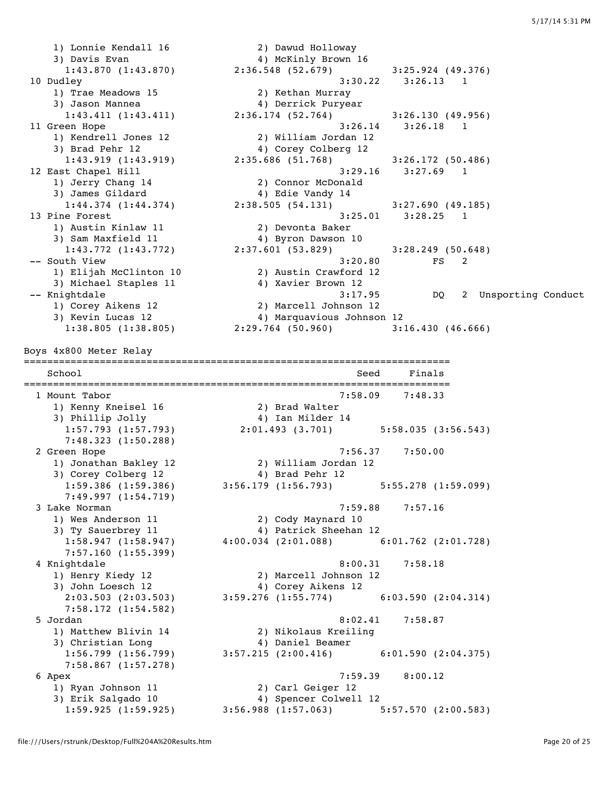1) Lonnie Kendall 16 2) Dawud Holloway 3) Davis Evan 4) McKinly Brown 16 9 Davis Evan<br>1:43.870 (1:43.870) 2:36.548 (52.679) 3:25.924 (49.376) 10 Dudley 3:30.22 3:26.13 1 1) Trae Meadows 15 2) Kethan Murray 3) Jason Mannea 4) Derrick Puryear 1:43.411 (1:43.411) 2:36.174 (52.764) 3:26.130 (49.956) 11 Green Hope 3:26.14 3:26.18 1 1) Kendrell Jones 12 2) William Jordan 12 3) Brad Pehr 12 4) Corey Colberg 12 1:43.919 (1:43.919) 2:35.686 (51.768) 3:26.172 (50.486) 12 East Chapel Hill 3:29.16 3:27.69 1 1) Jerry Chang 14 2) Connor McDonald 3) James Gildard 4) Edie Vandy 14 1:44.374 (1:44.374) 2:38.505 (54.131) 3:27.690 (49.185) 13 Pine Forest 3:25.01 3:28.25 1 1) Austin Kinlaw 11 2) Devonta Baker 3) Sam Maxfield 11 4) Byron Dawson 10 1:43.772 (1:43.772) 2:37.601 (53.829) 3:28.249 (50.648) -- South View 3:20.80 FS 2 1) Elijah McClinton 10 2) Austin Crawford 12 3) Michael Staples 11 (4) Xavier Brown 12 -- Knightdale 3:17.95 DQ 2 Unsporting Conduct 1) Corey Aikens 12 2) Marcell Johnson 12 3) Kevin Lucas 12 4) Marquavious Johnson 12 1:38.805 (1:38.805) 2:29.764 (50.960) 3:16.430 (46.666) Boys 4x800 Meter Relay ========================================================================= School Seed Finals ========================================================================= 1 Mount Tabor 7:58.09 7:48.33 1) Kenny Kneisel 16 2) Brad Walter 3) Phillip Jolly 4) Ian Milder 14 1:57.793 (1:57.793) 2:01.493 (3.701) 5:58.035 (3:56.543) 7:48.323 (1:50.288) 2 Green Hope 7:56.37 7:50.00 1) Jonathan Bakley 12 2) William Jordan 12 3) Corey Colberg 12 (a) 4) Brad Pehr 12 1:59.386 (1:59.386) 3:56.179 (1:56.793) 5:55.278 (1:59.099) 7:49.997 (1:54.719) 3 Lake Norman 7:59.88 7:57.16 1) Wes Anderson 11 2) Cody Maynard 10 3) Ty Sauerbrey 11 4) Patrick Sheehan 12 1:58.947 (1:58.947) 4:00.034 (2:01.088) 6:01.762 (2:01.728) 7:57.160 (1:55.399) 4 Knightdale 8:00.31 7:58.18 1) Henry Kiedy 12 2) Marcell Johnson 12 3) John Loesch 12 4) Corey Aikens 12 2:03.503 (2:03.503) 3:59.276 (1:55.774) 6:03.590 (2:04.314) 7:58.172 (1:54.582) 5 Jordan 8:02.41 7:58.87 1) Matthew Blivin 14 2) Nikolaus Kreiling 3) Christian Long 4) Daniel Beamer 1:56.799 (1:56.799) 3:57.215 (2:00.416) 6:01.590 (2:04.375) 7:58.867 (1:57.278) 6 Apex 7:59.39 8:00.12 1) Ryan Johnson 11 2) Carl Geiger 12 3) Erik Salgado 10 4) Spencer Colwell 12 1:59.925 (1:59.925) 3:56.988 (1:57.063) 5:57.570 (2:00.583)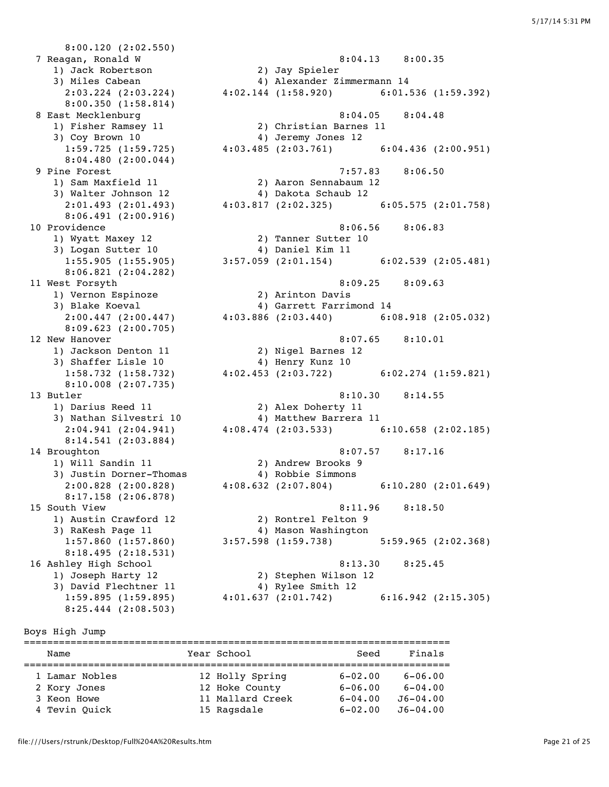8:00.120 (2:02.550) 7 Reagan, Ronald W 8:04.13 8:00.35 1) Jack Robertson 2) Jay Spieler 3) Miles Cabean 4) Alexander Zimmermann 14 8:00.350 (1:58.814) 3) Coy Brown 10 and 4) Jeremy Jones 12 8:04.480 (2:00.044) 8:06.491 (2:00.916) 3) Logan Sutter 10 4) Daniel Kim 11 8:06.821 (2:04.282) 1) Vernon Espinoze 2) Arinton Davis 8:09.623 (2:00.705) 1) Jackson Denton 11 2) Nigel Barnes 12 3) Shaffer Lisle 10 4) Henry Kunz 10 8:10.008 (2:07.735) 1) Darius Reed 11 2) Alex Doherty 11 8:14.541 (2:03.884) 1) Will Sandin 11 2) Andrew Brooks 9 3) Justin Dorner-Thomas 4) Robbie Simmons 8:17.158 (2:06.878) 8:18.495 (2:18.531) 3) David Flechtner 11 4) Rylee Smith 12

 2:03.224 (2:03.224) 4:02.144 (1:58.920) 6:01.536 (1:59.392) 8 East Mecklenburg 8:04.05 8:04.48 1) Fisher Ramsey 11 2) Christian Barnes 11 1:59.725 (1:59.725) 4:03.485 (2:03.761) 6:04.436 (2:00.951) 9 Pine Forest 7:57.83 8:06.50 1) Sam Maxfield 11 2) Aaron Sennabaum 12 3) Walter Johnson 12 4) Dakota Schaub 12 2:01.493 (2:01.493) 4:03.817 (2:02.325) 6:05.575 (2:01.758) 10 Providence 8:06.56 8:06.83 1) Wyatt Maxey 12 2) Tanner Sutter 10 1:55.905 (1:55.905) 3:57.059 (2:01.154) 6:02.539 (2:05.481) 11 West Forsyth 8:09.25 8:09.63 3) Blake Koeval 4) Garrett Farrimond 14 2:00.447 (2:00.447) 4:03.886 (2:03.440) 6:08.918 (2:05.032) 12 New Hanover 8:07.65 8:10.01 1:58.732 (1:58.732) 4:02.453 (2:03.722) 6:02.274 (1:59.821) 13 Butler 8:10.30 8:14.55 3) Nathan Silvestri 10 4) Matthew Barrera 11 2:04.941 (2:04.941) 4:08.474 (2:03.533) 6:10.658 (2:02.185) 14 Broughton 8:07.57 8:17.16 2:00.828 (2:00.828) 4:08.632 (2:07.804) 6:10.280 (2:01.649) 15 South View 8:11.96 8:18.50 1) Austin Crawford 12 2) Rontrel Felton 9 3) RaKesh Page 11 4) Mason Washington 1:57.860 (1:57.860) 3:57.598 (1:59.738) 5:59.965 (2:02.368) 16 Ashley High School 8:13.30 8:25.45 1) Joseph Harty 12 2) Stephen Wilson 12 1:59.895 (1:59.895) 4:01.637 (2:01.742) 6:16.942 (2:15.305)

#### Boys High Jump

| Name           | Year School      | Seed        | Finals       |
|----------------|------------------|-------------|--------------|
|                |                  |             |              |
| 1 Lamar Nobles | 12 Holly Spring  | $6 - 02.00$ | $6 - 06.00$  |
| 2 Kory Jones   | 12 Hoke County   | $6 - 06.00$ | $6 - 04.00$  |
| 3 Keon Howe    | 11 Mallard Creek | $6 - 04.00$ | $J6 - 04.00$ |
| 4 Tevin Ouick  | 15 Ragsdale      | $6 - 02.00$ | $J6 - 04.00$ |

8:25.444 (2:08.503)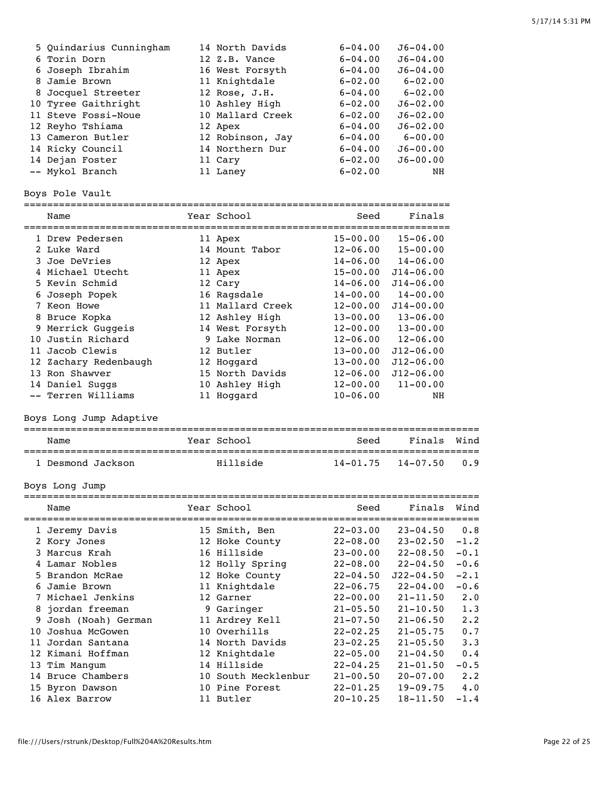| 5 Ouindarius Cunningham | 14 North Davids  | $6 - 04.00$ | $J6 - 04.00$ |
|-------------------------|------------------|-------------|--------------|
| 6 Torin Dorn            | 12 Z.B. Vance    | $6 - 04.00$ | $J6 - 04.00$ |
| 6 Joseph Ibrahim        | 16 West Forsyth  | $6 - 04.00$ | $J6 - 04.00$ |
| 8 Jamie Brown           | 11 Knightdale    | $6 - 02.00$ | $6 - 02.00$  |
| 8 Jocquel Streeter      | 12 Rose, J.H.    | $6 - 04.00$ | $6 - 02.00$  |
| 10 Tyree Gaithright     | 10 Ashley High   | $6 - 02.00$ | $J6 - 02.00$ |
| 11 Steve Fossi-Noue     | 10 Mallard Creek | $6 - 02.00$ | $J6 - 02.00$ |
| 12 Reyho Tshiama        | 12 Apex          | $6 - 04.00$ | $J6 - 02.00$ |
| 13 Cameron Butler       | 12 Robinson, Jay | $6 - 04.00$ | $6 - 00.00$  |
| 14 Ricky Council        | 14 Northern Dur  | $6 - 04.00$ | $J6 - 00.00$ |
| 14 Dejan Foster         | 11 Cary          | $6 - 02.00$ | $J6 - 00.00$ |
| -- Mykol Branch         | 11 Laney         | $6 - 02.00$ | NH           |
|                         |                  |             |              |

Boys Pole Vault

========================================================================= Seed Finals

| ------                |                  |              |               |
|-----------------------|------------------|--------------|---------------|
| 1 Drew Pedersen       | 11 Apex          | $15 - 00.00$ | $15 - 06.00$  |
| 2 Luke Ward           | 14 Mount Tabor   | $12 - 06.00$ | $15 - 00.00$  |
| 3 Joe DeVries         | 12 Apex          | $14 - 06.00$ | $14 - 06.00$  |
| 4 Michael Utecht      | 11 Apex          | $15 - 00.00$ | $J14 - 06.00$ |
| 5 Kevin Schmid        | 12 Cary          | $14 - 06.00$ | $J14 - 06.00$ |
| 6 Joseph Popek        | 16 Ragsdale      | $14 - 00.00$ | $14 - 00.00$  |
| 7 Keon Howe           | 11 Mallard Creek | $12 - 00.00$ | $J14 - 00.00$ |
| 8 Bruce Kopka         | 12 Ashley High   | $13 - 00.00$ | $13 - 06.00$  |
| 9 Merrick Guggeis     | 14 West Forsyth  | $12 - 00.00$ | $13 - 00.00$  |
| 10 Justin Richard     | 9 Lake Norman    | $12 - 06.00$ | $12 - 06.00$  |
| 11 Jacob Clewis       | 12 Butler        | $13 - 00.00$ | $J12 - 06.00$ |
| 12 Zachary Redenbaugh | 12 Hoqqard       | $13 - 00.00$ | $J12 - 06.00$ |
| 13 Ron Shawyer        | 15 North Davids  | $12 - 06.00$ | $J12 - 06.00$ |
| 14 Daniel Suggs       | 10 Ashley High   | $12 - 00.00$ | $11 - 00.00$  |
| -- Terren Williams    | 11 Hoqqard       | $10 - 06.00$ | ΝH            |

Boys Long Jump Adaptive

| Name            | Year School | Seed         | Finals Wind  |      |
|-----------------|-------------|--------------|--------------|------|
| Desmond Jackson | Ahillside   | $14 - 01.75$ | $14 - 07.50$ | റ. 9 |

Boys Long Jump

|    | Name               | Year School         | Seed         | Finals        | Wind        |
|----|--------------------|---------------------|--------------|---------------|-------------|
|    | 1 Jeremy Davis     | 15 Smith, Ben       | $22 - 03.00$ | $23 - 04.50$  | 0.8         |
|    | 2 Kory Jones       | 12 Hoke County      | $22 - 08.00$ | $23 - 02.50$  | $-1.2$      |
|    | 3 Marcus Krah      | 16 Hillside         | $23 - 00.00$ | $22 - 08.50$  | $-0.1$      |
|    | 4 Lamar Nobles     | 12 Holly Spring     | $22 - 08.00$ | $22 - 04.50$  | $-0.6$      |
|    | 5 Brandon McRae    | 12 Hoke County      | $22 - 04.50$ | $J22 - 04.50$ | $-2.1$      |
|    | 6 Jamie Brown      | 11 Knightdale       | $22 - 06.75$ | $22 - 04.00$  | $-0.6$      |
|    | 7 Michael Jenkins  | 12 Garner           | $22 - 00.00$ | $21 - 11.50$  | $2 \cdot 0$ |
|    | 8 jordan freeman   | 9 Garinger          | $21 - 05.50$ | $21 - 10.50$  | 1.3         |
| 9  | Josh (Noah) German | 11 Ardrey Kell      | $21 - 07.50$ | $21 - 06.50$  | $2 \cdot 2$ |
| 10 | Joshua McGowen     | 10 Overhills        | $22 - 02.25$ | $21 - 05.75$  | 0.7         |
| 11 | Jordan Santana     | 14 North Davids     | $23 - 02.25$ | $21 - 05.50$  | 3.3         |
|    | 12 Kimani Hoffman  | 12 Knightdale       | $22 - 05.00$ | $21 - 04.50$  | 0.4         |
|    | 13 Tim Manqum      | 14 Hillside         | $22 - 04.25$ | $21 - 01.50$  | $-0.5$      |
|    | 14 Bruce Chambers  | 10 South Mecklenbur | $21 - 00.50$ | $20 - 07.00$  | 2.2         |
|    | 15 Byron Dawson    | 10 Pine Forest      | $22 - 01.25$ | $19 - 09.75$  | 4.0         |
|    | 16 Alex Barrow     | 11 Butler           | $20 - 10.25$ | $18 - 11.50$  | $-1.4$      |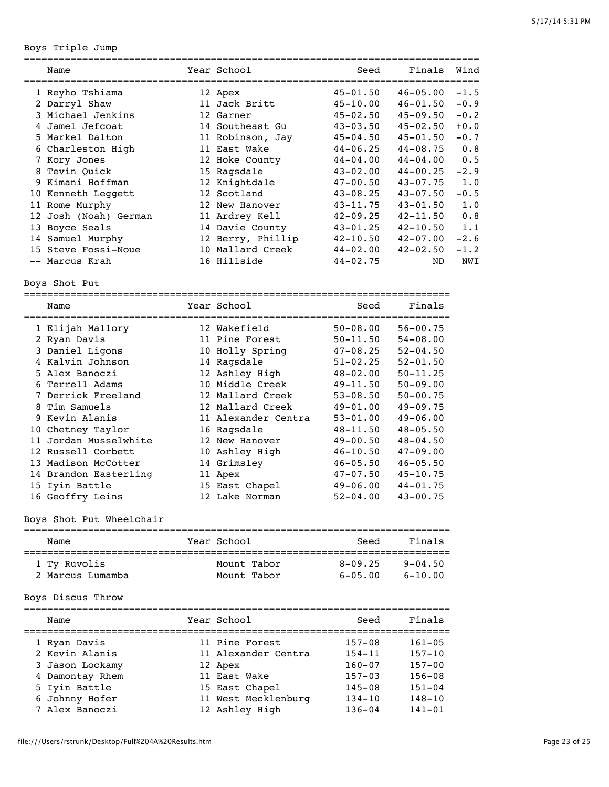Boys Triple Jump

| Name                  |    | Year School       | Seed<br>==================== | Finals       | Wind   |
|-----------------------|----|-------------------|------------------------------|--------------|--------|
| 1 Reyho Tshiama       |    | 12 Apex           | $45 - 01.50$                 | $46 - 05.00$ | $-1.5$ |
| 2 Darryl Shaw         |    | 11 Jack Britt     | $45 - 10.00$                 | $46 - 01.50$ | $-0.9$ |
| 3 Michael Jenkins     |    | 12 Garner         | $45 - 02.50$                 | $45 - 09.50$ | $-0.2$ |
| 4 Jamel Jefcoat       |    | 14 Southeast Gu   | $43 - 03.50$                 | $45 - 02.50$ | $+0.0$ |
| 5 Markel Dalton       |    | 11 Robinson, Jay  | $45 - 04.50$                 | $45 - 01.50$ | $-0.7$ |
| 6 Charleston High     |    | 11 East Wake      | $44 - 06.25$                 | $44 - 08.75$ | 0.8    |
| Kory Jones            |    | 12 Hoke County    | $44 - 04.00$                 | $44 - 04.00$ | 0.5    |
| 8 Tevin Quick         |    | 15 Ragsdale       | $43 - 02.00$                 | $44 - 00.25$ | $-2.9$ |
| 9 Kimani Hoffman      |    | 12 Knightdale     | $47 - 00.50$                 | $43 - 07.75$ | 1.0    |
| 10 Kenneth Leggett    |    | 12 Scotland       | $43 - 08.25$                 | $43 - 07.50$ | $-0.5$ |
| 11 Rome Murphy        |    | 12 New Hanover    | $43 - 11.75$                 | $43 - 01.50$ | 1.0    |
| 12 Josh (Noah) German |    | 11 Ardrey Kell    | $42 - 09.25$                 | $42 - 11.50$ | 0.8    |
| 13 Boyce Seals        |    | 14 Davie County   | $43 - 01.25$                 | $42 - 10.50$ | 1.1    |
| 14 Samuel Murphy      |    | 12 Berry, Phillip | $42 - 10.50$                 | $42 - 07.00$ | $-2.6$ |
| 15 Steve Fossi-Noue   | 10 | Mallard Creek     | $44 - 02.00$                 | $42 - 02.50$ | $-1.2$ |
| -- Marcus Krah        |    | 16 Hillside       | $44 - 02.75$                 | ND.          | NWI    |

Boys Shot Put

=========================================================================

| Name                  | Year School         | Seed         | Finals       |
|-----------------------|---------------------|--------------|--------------|
| 1 Elijah Mallory      | 12 Wakefield        | $50 - 08.00$ | $56 - 00.75$ |
| 2 Ryan Davis          | 11 Pine Forest      | $50 - 11.50$ | $54 - 08.00$ |
| 3 Daniel Ligons       | 10 Holly Spring     | $47 - 08.25$ | $52 - 04.50$ |
| 4 Kalvin Johnson      | 14 Ragsdale         | $51 - 02.25$ | $52 - 01.50$ |
| 5 Alex Banoczi        | 12 Ashley High      | $48 - 02.00$ | $50 - 11.25$ |
| 6 Terrell Adams       | 10 Middle Creek     | $49 - 11.50$ | $50 - 09.00$ |
| 7 Derrick Freeland    | 12 Mallard Creek    | $53 - 08.50$ | $50 - 00.75$ |
| 8 Tim Samuels         | 12 Mallard Creek    | $49 - 01.00$ | $49 - 09.75$ |
| 9 Kevin Alanis        | 11 Alexander Centra | $53 - 01.00$ | $49 - 06.00$ |
| 10 Chetney Taylor     | 16 Ragsdale         | $48 - 11.50$ | $48 - 05.50$ |
| 11 Jordan Musselwhite | 12 New Hanover      | $49 - 00.50$ | $48 - 04.50$ |
| 12 Russell Corbett    | 10 Ashley High      | $46 - 10.50$ | $47 - 09.00$ |
| 13 Madison McCotter   | 14 Grimsley         | $46 - 05.50$ | $46 - 05.50$ |
| 14 Brandon Easterling | 11 Apex             | $47 - 07.50$ | $45 - 10.75$ |
| 15 Iyin Battle        | 15 East Chapel      | $49 - 06.00$ | $44 - 01.75$ |
| 16 Geoffry Leins      | 12 Lake Norman      | $52 - 04.00$ | $43 - 00.75$ |

# Boys Shot Put Wheelchair

| Name             | Year School | Seed        | Finals      |
|------------------|-------------|-------------|-------------|
| 1 Ty Ruvolis     | Mount Tabor | $8 - 09.25$ | $9 - 04.50$ |
| 2 Marcus Lumamba | Mount Tabor | $6 - 05.00$ | $6 - 10.00$ |

# Boys Discus Throw

| Name            | Year School         | Seed       | Finals     |
|-----------------|---------------------|------------|------------|
| 1 Ryan Davis    | 11 Pine Forest      | $157 - 08$ | $161 - 05$ |
| 2 Kevin Alanis  | 11 Alexander Centra | $154 - 11$ | $157 - 10$ |
| 3 Jason Lockamy | 12 Apex             | $160 - 07$ | $157 - 00$ |
| 4 Damontay Rhem | 11 East Wake        | $157 - 03$ | $156 - 08$ |
| 5 Iyin Battle   | 15 East Chapel      | $145 - 08$ | $151 - 04$ |
| 6 Johnny Hofer  | 11 West Mecklenburg | $134 - 10$ | $148 - 10$ |
| 7 Alex Banoczi  | 12 Ashley High      | $136 - 04$ | $141 - 01$ |
|                 |                     |            |            |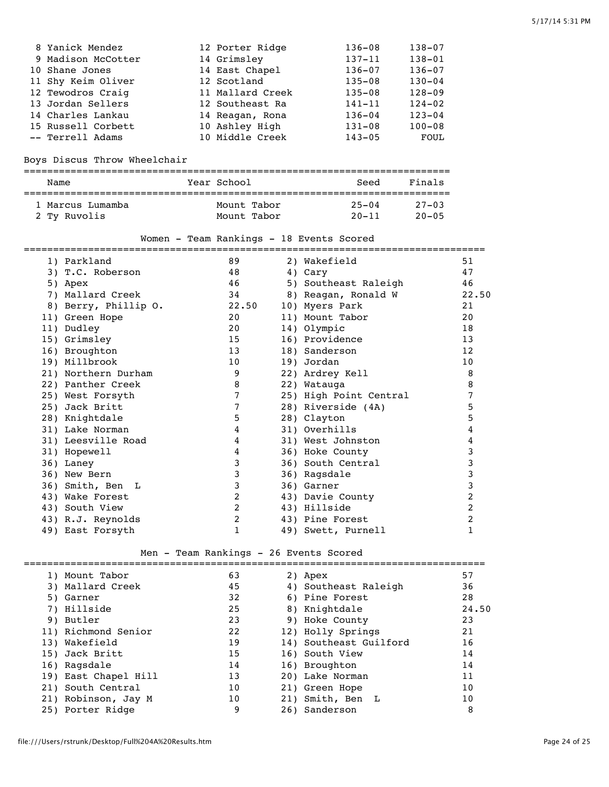| 8 Yanick Mendez    | 12 Porter Ridge  | $136 - 08$ | $138 - 07$ |
|--------------------|------------------|------------|------------|
| 9 Madison McCotter | 14 Grimsley      | $137 - 11$ | $138 - 01$ |
| 10 Shane Jones     | 14 East Chapel   | $136 - 07$ | $136 - 07$ |
| 11 Shy Keim Oliver | 12 Scotland      | $135 - 08$ | $130 - 04$ |
| 12 Tewodros Craiq  | 11 Mallard Creek | $135 - 08$ | $128 - 09$ |
| 13 Jordan Sellers  | 12 Southeast Ra  | $141 - 11$ | $124 - 02$ |
| 14 Charles Lankau  | 14 Reagan, Rona  | $136 - 04$ | $123 - 04$ |
| 15 Russell Corbett | 10 Ashley High   | $131 - 08$ | $100 - 08$ |
| -- Terrell Adams   | 10 Middle Creek  | $143 - 05$ | FOUL       |

# Boys Discus Throw Wheelchair

| Name             | Year School | Seed      | Finals     |  |  |  |
|------------------|-------------|-----------|------------|--|--|--|
|                  |             |           |            |  |  |  |
| 1 Marcus Lumamba | Mount Tabor | $25 - 04$ | $27 - 0.3$ |  |  |  |
| 2 Tv Ruvolis     | Mount Tabor | $20 - 11$ | $20 - 05$  |  |  |  |

## Women - Team Rankings - 18 Events Scored

| 1) Parkland          | 89    | 2) Wakefield           | 51    |
|----------------------|-------|------------------------|-------|
| 3) T.C. Roberson     | 48    | 4) Cary                | 47    |
| 5) Apex              | 46    | 5) Southeast Raleigh   | 46    |
| 7) Mallard Creek     | 34    | 8) Reagan, Ronald W    | 22.50 |
| 8) Berry, Phillip O. | 22.50 | 10) Myers Park         | 21    |
| 11) Green Hope       | 20    | 11) Mount Tabor        | 20    |
| 11) Dudley           | 20    | 14) Olympic            | 18    |
| 15) Grimsley         | 15    | 16) Providence         | 13    |
| 16) Broughton        | 13    | 18) Sanderson          | 12    |
| 19) Millbrook        | 10    | 19) Jordan             | 10    |
| 21) Northern Durham  | 9     | 22) Ardrey Kell        | 8     |
| 22) Panther Creek    | 8     | 22) Watauga            | 8     |
| 25) West Forsyth     | 7     | 25) High Point Central | 7     |
| 25) Jack Britt       | 7     | 28) Riverside (4A)     | 5     |
| 28) Knightdale       | 5     | 28) Clayton            | 5     |
| 31) Lake Norman      | 4     | 31) Overhills          | 4     |
| 31) Leesville Road   | 4     | 31) West Johnston      | 4     |
| 31) Hopewell         | 4     | 36) Hoke County        | 3     |
| 36) Laney            | 3     | 36) South Central      | 3     |
| 36) New Bern         | 3     | 36) Raqsdale           | 3     |
| 36) Smith, Ben L     | 3     | 36) Garner             | 3     |
| 43) Wake Forest      | 2     | 43) Davie County       | 2     |
| 43) South View       | 2     | 43) Hillside           | 2     |
| 43) R.J. Reynolds    | 2     | 43) Pine Forest        | 2     |
| 49) East Forsyth     | 1     | 49) Swett, Purnell     | 1     |

# Men - Team Rankings - 26 Events Scored

| 1) Mount Tabor       | 63 | 2) Apex                | 57    |
|----------------------|----|------------------------|-------|
| 3) Mallard Creek     | 45 | 4) Southeast Raleigh   | 36    |
| 5) Garner            | 32 | 6) Pine Forest         | 28    |
| 7) Hillside          | 25 | 8) Knightdale          | 24.50 |
| 9) Butler            | 23 | 9) Hoke County         | 23    |
| 11) Richmond Senior  | 22 | 12) Holly Springs      | 21    |
| 13) Wakefield        | 19 | 14) Southeast Guilford | 16    |
| 15) Jack Britt       | 15 | 16) South View         | 14    |
| 16) Ragsdale         | 14 | 16) Broughton          | 14    |
| 19) East Chapel Hill | 13 | 20) Lake Norman        | 11    |
| 21) South Central    | 10 | 21) Green Hope         | 10    |
| 21) Robinson, Jay M  | 10 | 21) Smith, Ben L       | 10    |
| 25) Porter Ridge     | 9  | 26) Sanderson          | 8     |